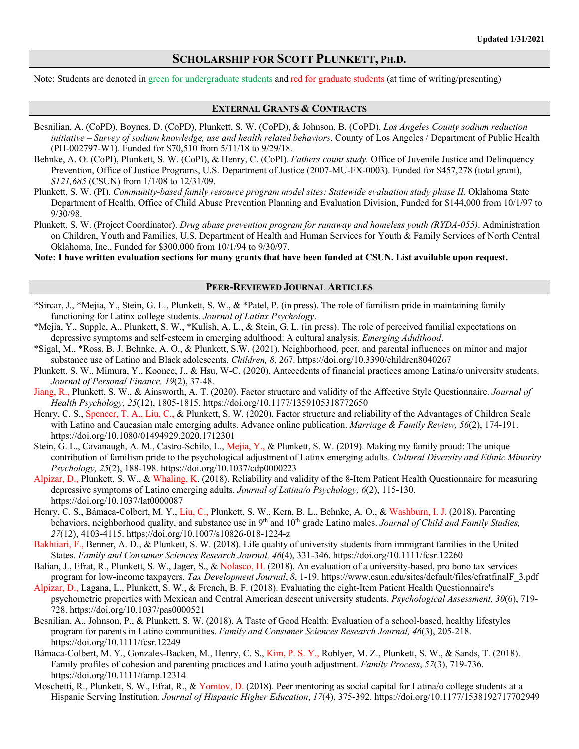# **SCHOLARSHIP FOR SCOTT PLUNKETT, PH.D.**

Note: Students are denoted in green for undergraduate students and red for graduate students (at time of writing/presenting)

### **EXTERNAL GRANTS & CONTRACTS**

- Besnilian, A. (CoPD), Boynes, D. (CoPD), Plunkett, S. W. (CoPD), & Johnson, B. (CoPD). *Los Angeles County sodium reduction initiative – Survey of sodium knowledge, use and health related behaviors*. County of Los Angeles / Department of Public Health (PH-002797-W1). Funded for \$70,510 from 5/11/18 to 9/29/18.
- Behnke, A. O. (CoPI), Plunkett, S. W. (CoPI), & Henry, C. (CoPI). *Fathers count study.* Office of Juvenile Justice and Delinquency Prevention, Office of Justice Programs, U.S. Department of Justice (2007-MU-FX-0003). Funded for \$457,278 (total grant), *\$121,685* (CSUN) from 1/1/08 to 12/31/09.
- Plunkett, S. W. (PI). *Community-based family resource program model sites: Statewide evaluation study phase II.* Oklahoma State Department of Health, Office of Child Abuse Prevention Planning and Evaluation Division, Funded for \$144,000 from 10/1/97 to 9/30/98.
- Plunkett, S. W. (Project Coordinator). *Drug abuse prevention program for runaway and homeless youth (RYDA-055)*. Administration on Children, Youth and Families, U.S. Department of Health and Human Services for Youth & Family Services of North Central Oklahoma, Inc., Funded for \$300,000 from 10/1/94 to 9/30/97.

**Note: I have written evaluation sections for many grants that have been funded at CSUN. List available upon request.**

#### **PEER-REVIEWED JOURNAL ARTICLES**

- \*Sircar, J., \*Mejia, Y., Stein, G. L., Plunkett, S. W., & \*Patel, P. (in press). The role of familism pride in maintaining family functioning for Latinx college students. *Journal of Latinx Psychology*.
- \*Mejia, Y., Supple, A., Plunkett, S. W., \*Kulish, A. L., & Stein, G. L. (in press). The role of perceived familial expectations on depressive symptoms and self-esteem in emerging adulthood: A cultural analysis. *Emerging Adulthood*.
- \*Sigal, M., \*Ross, B. J. Behnke, A. O., & Plunkett, S.W. (2021). Neighborhood, peer, and parental influences on minor and major substance use of Latino and Black adolescents. *Children, 8*, 267. https://doi.org/10.3390/children8040267
- Plunkett, S. W., Mimura, Y., Koonce, J., & Hsu, W-C. (2020). Antecedents of financial practices among Latina/o university students. *Journal of Personal Finance, 19*(2), 37-48.
- Jiang, R., Plunkett, S. W., & Ainsworth, A. T. (2020). Factor structure and validity of the Affective Style Questionnaire. *Journal of Health Psychology, 25*(12), 1805-1815. https://doi.org/10.1177/1359105318772650
- Henry, C. S., Spencer, T. A., Liu, C., & Plunkett, S. W. (2020). Factor structure and reliability of the Advantages of Children Scale with Latino and Caucasian male emerging adults. Advance online publication. *Marriage & Family Review, 56*(2), 174-191. https://doi.org/10.1080/01494929.2020.1712301
- Stein, G. L., Cavanaugh, A. M., Castro-Schilo, L., Mejia, Y., & Plunkett, S. W. (2019). Making my family proud: The unique contribution of familism pride to the psychological adjustment of Latinx emerging adults. *Cultural Diversity and Ethnic Minority Psychology, 25*(2), 188-198. https://doi.org/10.1037/cdp0000223
- Alpizar, D., Plunkett, S. W., & Whaling, K. (2018). Reliability and validity of the 8-Item Patient Health Questionnaire for measuring depressive symptoms of Latino emerging adults. *Journal of Latina/o Psychology, 6*(2), 115-130. https://doi.org/10.1037/lat0000087
- Henry, C. S., Bámaca-Colbert, M. Y., Liu, C., Plunkett, S. W., Kern, B. L., Behnke, A. O., & Washburn, I. J. (2018). Parenting behaviors, neighborhood quality, and substance use in 9<sup>th</sup> and 10<sup>th</sup> grade Latino males. *Journal of Child and Family Studies*, *27*(12), 4103-4115. https://doi.org/10.1007/s10826-018-1224-z
- Bakhtiari, F., Benner, A. D., & Plunkett, S. W. (2018). Life quality of university students from immigrant families in the United States. *Family and Consumer Sciences Research Journal, 46*(4), 331-346. https://doi.org/10.1111/fcsr.12260
- Balian, J., Efrat, R., Plunkett, S. W., Jager, S., & Nolasco, H. (2018). An evaluation of a university-based, pro bono tax services program for low-income taxpayers. *Tax Development Journal*, *8*, 1-19. https://www.csun.edu/sites/default/files/efratfinalF\_3.pdf
- Alpizar, D., Lagana, L., Plunkett, S. W., & French, B. F. (2018). Evaluating the eight-Item Patient Health Questionnaire's psychometric properties with Mexican and Central American descent university students. *Psychological Assessment, 30*(6), 719- 728. https://doi.org/10.1037/pas0000521
- Besnilian, A., Johnson, P., & Plunkett, S. W. (2018). A Taste of Good Health: Evaluation of a school-based, healthy lifestyles program for parents in Latino communities. *Family and Consumer Sciences Research Journal, 46*(3), 205-218. https://doi.org/10.1111/fcsr.12249
- Bámaca-Colbert, M. Y., Gonzales-Backen, M., Henry, C. S., Kim, P. S. Y., Roblyer, M. Z., Plunkett, S. W., & Sands, T. (2018). Family profiles of cohesion and parenting practices and Latino youth adjustment. *Family Process*, *57*(3), 719-736. https://doi.org/10.1111/famp.12314
- Moschetti, R., Plunkett, S. W., Efrat, R., & Yomtov, D. (2018). Peer mentoring as social capital for Latina/o college students at a Hispanic Serving Institution. *Journal of Hispanic Higher Education*, *17*(4), 375-392. https://doi.org/10.1177/1538192717702949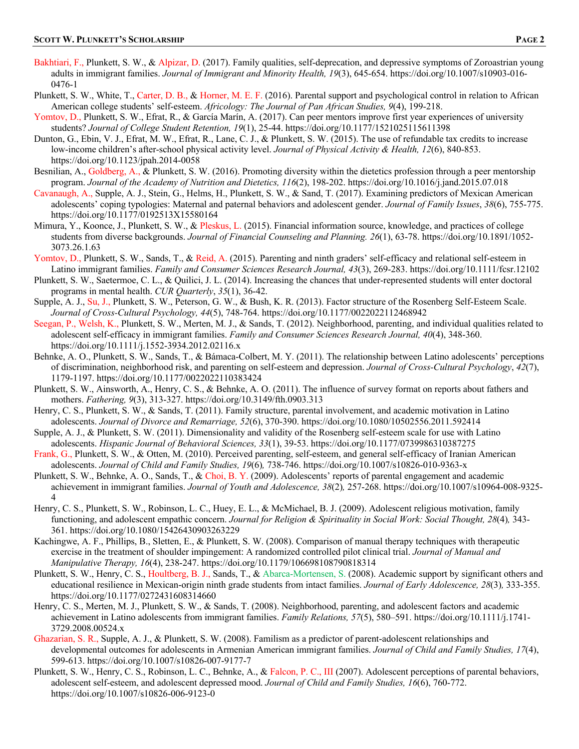- Bakhtiari, F., Plunkett, S. W., & Alpizar, D. (2017). Family qualities, self-deprecation, and depressive symptoms of Zoroastrian young adults in immigrant families. *Journal of Immigrant and Minority Health, 19*(3), 645-654. https://doi.org/10.1007/s10903-016- 0476-1
- Plunkett, S. W., White, T., Carter, D. B., & Horner, M. E. F. (2016). Parental support and psychological control in relation to African American college students' self-esteem. *Africology: The Journal of Pan African Studies, 9*(4), 199-218.
- Yomtov, D., Plunkett, S. W., Efrat, R., & García Marín, A. (2017). Can peer mentors improve first year experiences of university students? *Journal of College Student Retention, 19*(1), 25-44. https://doi.org/10.1177/1521025115611398
- Dunton, G., Ebin, V. J., Efrat, M. W., Efrat, R., Lane, C. J., & Plunkett, S. W. (2015). The use of refundable tax credits to increase low-income children's after-school physical activity level. *Journal of Physical Activity & Health, 12*(6), 840-853. https://doi.org/10.1123/jpah.2014-0058
- Besnilian, A., Goldberg, A., & Plunkett, S. W. (2016). Promoting diversity within the dietetics profession through a peer mentorship program. *Journal of the Academy of Nutrition and Dietetics, 116*(2), 198-202. https://doi.org/10.1016/j.jand.2015.07.018
- Cavanaugh, A., Supple, A. J., Stein, G., Helms, H., Plunkett, S. W., & Sand, T. (2017). Examining predictors of Mexican American adolescents' coping typologies: Maternal and paternal behaviors and adolescent gender. *Journal of Family Issues*, *38*(6), 755-775. https://doi.org/10.1177/0192513X15580164
- Mimura, Y., Koonce, J., Plunkett, S. W., & Pleskus, L. (2015). Financial information source, knowledge, and practices of college students from diverse backgrounds. *Journal of Financial Counseling and Planning. 26*(1), 63-78. https://doi.org/10.1891/1052- 3073.26.1.63
- Yomtov, D., Plunkett, S. W., Sands, T., & Reid, A. (2015). Parenting and ninth graders' self-efficacy and relational self-esteem in Latino immigrant families. *Family and Consumer Sciences Research Journal, 43*(3), 269-283. https://doi.org/10.1111/fcsr.12102
- Plunkett, S. W., Saetermoe, C. L., & Quilici, J. L. (2014). Increasing the chances that under-represented students will enter doctoral programs in mental health. *CUR Quarterly*, *35*(1), 36-42.
- Supple, A. J., Su, J., Plunkett, S. W., Peterson, G. W., & Bush, K. R. (2013). Factor structure of the Rosenberg Self-Esteem Scale. *Journal of Cross-Cultural Psychology, 44*(5), 748-764. https://doi.org/10.1177/0022022112468942
- Seegan, P., Welsh, K., Plunkett, S. W., Merten, M. J., & Sands, T. (2012). Neighborhood, parenting, and individual qualities related to adolescent self-efficacy in immigrant families. *Family and Consumer Sciences Research Journal, 40*(4), 348-360. https://doi.org/10.1111/j.1552-3934.2012.02116.x
- Behnke, A. O., Plunkett, S. W., Sands, T., & Bámaca-Colbert, M. Y. (2011). The relationship between Latino adolescents' perceptions of discrimination, neighborhood risk, and parenting on self-esteem and depression. *Journal of Cross-Cultural Psychology*, *42*(7), 1179-1197. https://doi.org/10.1177/0022022110383424
- Plunkett, S. W., Ainsworth, A., Henry, C. S., & Behnke, A. O. (2011). The influence of survey format on reports about fathers and mothers. *Fathering, 9*(3), 313-327. https://doi.org/10.3149/fth.0903.313
- Henry, C. S., Plunkett, S. W., & Sands, T. (2011). Family structure, parental involvement, and academic motivation in Latino adolescents. *Journal of Divorce and Remarriage, 52*(6), 370-390. https://doi.org/10.1080/10502556.2011.592414
- Supple, A. J., & Plunkett, S. W. (2011). Dimensionality and validity of the Rosenberg self-esteem scale for use with Latino adolescents. *Hispanic Journal of Behavioral Sciences, 33*(1), 39-53. https://doi.org/10.1177/0739986310387275
- Frank, G., Plunkett, S. W., & Otten, M. (2010). Perceived parenting, self-esteem, and general self-efficacy of Iranian American adolescents. *Journal of Child and Family Studies, 19*(6)*,* 738-746. https://doi.org/10.1007/s10826-010-9363-x
- Plunkett, S. W., Behnke, A. O., Sands, T., & Choi, B. Y. (2009). Adolescents' reports of parental engagement and academic achievement in immigrant families. *Journal of Youth and Adolescence, 38*(2)*,* 257-268. https://doi.org/10.1007/s10964-008-9325- 4
- Henry, C. S., Plunkett, S. W., Robinson, L. C., Huey, E. L., & McMichael, B. J. (2009). Adolescent religious motivation, family functioning, and adolescent empathic concern. *Journal for Religion & Spirituality in Social Work: Social Thought, 28*(4)*,* 343- 361. https://doi.org/10.1080/15426430903263229
- Kachingwe, A. F., Phillips, B., Sletten, E., & Plunkett, S. W. (2008). Comparison of manual therapy techniques with therapeutic exercise in the treatment of shoulder impingement: A randomized controlled pilot clinical trial. *Journal of Manual and Manipulative Therapy, 16*(4), 238-247. https://doi.org/10.1179/106698108790818314
- Plunkett, S. W., Henry, C. S., Houltberg, B. J., Sands, T., & Abarca-Mortensen, S. (2008). Academic support by significant others and educational resilience in Mexican-origin ninth grade students from intact families. *Journal of Early Adolescence, 28*(3)*,* 333-355. https://doi.org/10.1177/0272431608314660
- Henry, C. S., Merten, M. J., Plunkett, S. W., & Sands, T. (2008). Neighborhood, parenting, and adolescent factors and academic achievement in Latino adolescents from immigrant families. *Family Relations, 57*(5), 580–591. https://doi.org/10.1111/j.1741- 3729.2008.00524.x
- Ghazarian, S. R., Supple, A. J., & Plunkett, S. W. (2008). Familism as a predictor of parent-adolescent relationships and developmental outcomes for adolescents in Armenian American immigrant families. *Journal of Child and Family Studies, 17*(4), 599-613. https://doi.org/10.1007/s10826-007-9177-7
- Plunkett, S. W., Henry, C. S., Robinson, L. C., Behnke, A., & Falcon, P. C., III (2007). Adolescent perceptions of parental behaviors, adolescent self-esteem, and adolescent depressed mood. *Journal of Child and Family Studies, 16*(6), 760-772. https://doi.org/10.1007/s10826-006-9123-0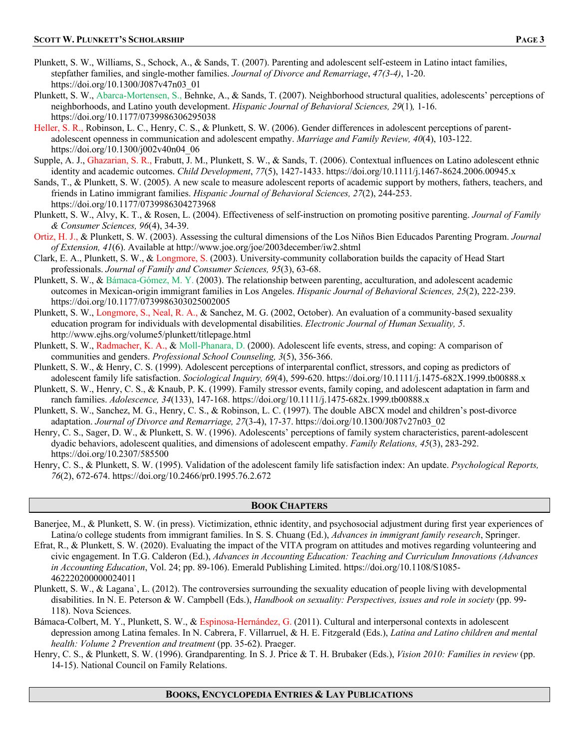- Plunkett, S. W., Williams, S., Schock, A., & Sands, T. (2007). Parenting and adolescent self-esteem in Latino intact families, stepfather families, and single-mother families. *Journal of Divorce and Remarriage*, *47(3-4)*, 1-20. https://doi.org/10.1300/J087v47n03\_01
- Plunkett, S. W., Abarca-Mortensen, S., Behnke, A., & Sands, T. (2007). Neighborhood structural qualities, adolescents' perceptions of neighborhoods, and Latino youth development. *Hispanic Journal of Behavioral Sciences, 29*(1)*,* 1-16. https://doi.org/10.1177/0739986306295038
- Heller, S. R., Robinson, L. C., Henry, C. S., & Plunkett, S. W. (2006). Gender differences in adolescent perceptions of parentadolescent openness in communication and adolescent empathy. *Marriage and Family Review, 40*(4), 103-122. https://doi.org/10.1300/j002v40n04\_06
- Supple, A. J., Ghazarian, S. R., Frabutt, J. M., Plunkett, S. W., & Sands, T. (2006). Contextual influences on Latino adolescent ethnic identity and academic outcomes. *Child Development*, *77*(5), 1427-1433. https://doi.org/10.1111/j.1467-8624.2006.00945.x
- Sands, T., & Plunkett, S. W. (2005). A new scale to measure adolescent reports of academic support by mothers, fathers, teachers, and friends in Latino immigrant families. *Hispanic Journal of Behavioral Sciences, 27*(2), 244-253. https://doi.org/10.1177/0739986304273968
- Plunkett, S. W., Alvy, K. T., & Rosen, L. (2004). Effectiveness of self-instruction on promoting positive parenting. *Journal of Family & Consumer Sciences, 96*(4), 34-39.
- Ortiz, H. J., & Plunkett, S. W. (2003). Assessing the cultural dimensions of the Los Niños Bien Educados Parenting Program. *Journal of Extension, 41*(6). Available at http://www.joe.org/joe/2003december/iw2.shtml
- Clark, E. A., Plunkett, S. W., & Longmore, S. (2003). University-community collaboration builds the capacity of Head Start professionals. *Journal of Family and Consumer Sciences, 95*(3), 63-68.
- Plunkett, S. W., & Bámaca-Gómez, M. Y. (2003). The relationship between parenting, acculturation, and adolescent academic outcomes in Mexican-origin immigrant families in Los Angeles. *Hispanic Journal of Behavioral Sciences, 25*(2), 222-239. https://doi.org/10.1177/0739986303025002005
- Plunkett, S. W., Longmore, S., Neal, R. A., & Sanchez, M. G. (2002, October). An evaluation of a community-based sexuality education program for individuals with developmental disabilities. *Electronic Journal of Human Sexuality, 5*. http://www.ejhs.org/volume5/plunkett/titlepage.html
- Plunkett, S. W., Radmacher, K. A., & Moll-Phanara, D. (2000). Adolescent life events, stress, and coping: A comparison of communities and genders. *Professional School Counseling, 3*(5), 356-366.
- Plunkett, S. W., & Henry, C. S. (1999). Adolescent perceptions of interparental conflict, stressors, and coping as predictors of adolescent family life satisfaction. *Sociological Inquiry, 69*(4), 599-620. https://doi.org/10.1111/j.1475-682X.1999.tb00888.x
- Plunkett, S. W., Henry, C. S., & Knaub, P. K. (1999). Family stressor events, family coping, and adolescent adaptation in farm and ranch families. *Adolescence, 34*(133), 147-168. https://doi.org/10.1111/j.1475-682x.1999.tb00888.x
- Plunkett, S. W., Sanchez, M. G., Henry, C. S., & Robinson, L. C. (1997). The double ABCX model and children's post-divorce adaptation. *Journal of Divorce and Remarriage, 27*(3-4), 17-37. https://doi.org/10.1300/J087v27n03\_02
- Henry, C. S., Sager, D. W., & Plunkett, S. W. (1996). Adolescents' perceptions of family system characteristics, parent-adolescent dyadic behaviors, adolescent qualities, and dimensions of adolescent empathy. *Family Relations, 45*(3), 283-292. https://doi.org/10.2307/585500
- Henry, C. S., & Plunkett, S. W. (1995). Validation of the adolescent family life satisfaction index: An update. *Psychological Reports, 76*(2), 672-674. https://doi.org/10.2466/pr0.1995.76.2.672

# **BOOK CHAPTERS**

- Banerjee, M., & Plunkett, S. W. (in press). Victimization, ethnic identity, and psychosocial adjustment during first year experiences of Latina/o college students from immigrant families. In S. S. Chuang (Ed.), *Advances in immigrant family research*, Springer.
- Efrat, R., & Plunkett, S. W. (2020). Evaluating the impact of the VITA program on attitudes and motives regarding volunteering and civic engagement. In T.G. Calderon (Ed.), *Advances in Accounting Education: Teaching and Curriculum Innovations (Advances in Accounting Education*, Vol. 24; pp. 89-106). Emerald Publishing Limited. https://doi.org/10.1108/S1085- 462220200000024011
- Plunkett, S. W., & Lagana`, L. (2012). The controversies surrounding the sexuality education of people living with developmental disabilities. In N. E. Peterson & W. Campbell (Eds.), *Handbook on sexuality: Perspectives, issues and role in society* (pp. 99- 118). Nova Sciences.

Bámaca-Colbert, M. Y., Plunkett, S. W., & Espinosa-Hernández, G. (2011). Cultural and interpersonal contexts in adolescent depression among Latina females. In N. Cabrera, F. Villarruel, & H. E. Fitzgerald (Eds.), *Latina and Latino children and mental health: Volume 2 Prevention and treatment* (pp. 35-62). Praeger.

Henry, C. S., & Plunkett, S. W. (1996). Grandparenting. In S. J. Price & T. H. Brubaker (Eds.), *Vision 2010: Families in review* (pp. 14-15). National Council on Family Relations.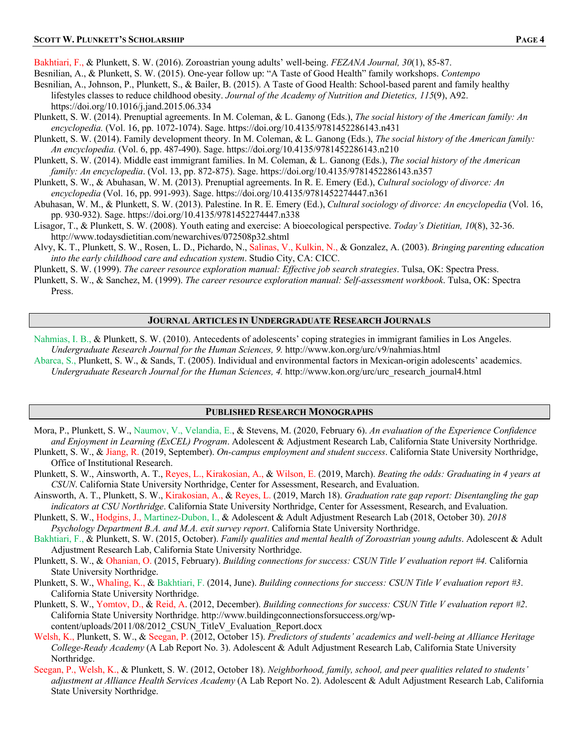Bakhtiari, F., & Plunkett, S. W. (2016). Zoroastrian young adults' well-being. *FEZANA Journal, 30*(1), 85-87.

- Besnilian, A., & Plunkett, S. W. (2015). One-year follow up: "A Taste of Good Health" family workshops. *Contempo*
- Besnilian, A., Johnson, P., Plunkett, S., & Bailer, B. (2015). A Taste of Good Health: School-based parent and family healthy lifestyles classes to reduce childhood obesity. *Journal of the Academy of Nutrition and Dietetics, 115*(9), A92. https://doi.org/10.1016/j.jand.2015.06.334
- Plunkett, S. W. (2014). Prenuptial agreements. In M. Coleman, & L. Ganong (Eds.), *The social history of the American family: An encyclopedia.* (Vol. 16, pp. 1072-1074). Sage. https://doi.org/10.4135/9781452286143.n431
- Plunkett, S. W. (2014). Family development theory. In M. Coleman, & L. Ganong (Eds.), *The social history of the American family: An encyclopedia.* (Vol. 6, pp. 487-490). Sage. https://doi.org/10.4135/9781452286143.n210
- Plunkett, S. W. (2014). Middle east immigrant families. In M. Coleman, & L. Ganong (Eds.), *The social history of the American family: An encyclopedia*. (Vol. 13, pp. 872-875). Sage. https://doi.org/10.4135/9781452286143.n357
- Plunkett, S. W., & Abuhasan, W. M. (2013). Prenuptial agreements. In R. E. Emery (Ed.), *Cultural sociology of divorce: An encyclopedia* (Vol. 16, pp. 991-993). Sage. https://doi.org/10.4135/9781452274447.n361
- Abuhasan, W. M., & Plunkett, S. W. (2013). Palestine. In R. E. Emery (Ed.), *Cultural sociology of divorce: An encyclopedia* (Vol. 16, pp. 930-932). Sage. https://doi.org/10.4135/9781452274447.n338
- Lisagor, T., & Plunkett, S. W. (2008). Youth eating and exercise: A bioecological perspective. *Today's Dietitian, 10*(8), 32-36. http://www.todaysdietitian.com/newarchives/072508p32.shtml
- Alvy, K. T., Plunkett, S. W., Rosen, L. D., Pichardo, N., Salinas, V., Kulkin, N., & Gonzalez, A. (2003). *Bringing parenting education into the early childhood care and education system*. Studio City, CA: CICC.
- Plunkett, S. W. (1999). *The career resource exploration manual: Effective job search strategies*. Tulsa, OK: Spectra Press.
- Plunkett, S. W., & Sanchez, M. (1999). *The career resource exploration manual: Self-assessment workbook*. Tulsa, OK: Spectra Press.

#### **JOURNAL ARTICLES IN UNDERGRADUATE RESEARCH JOURNALS**

- Nahmias, I. B., & Plunkett, S. W. (2010). Antecedents of adolescents' coping strategies in immigrant families in Los Angeles. *Undergraduate Research Journal for the Human Sciences, 9.* http://www.kon.org/urc/v9/nahmias.html
- Abarca, S., Plunkett, S. W., & Sands, T. (2005). Individual and environmental factors in Mexican-origin adolescents' academics. *Undergraduate Research Journal for the Human Sciences, 4.* http://www.kon.org/urc/urc\_research\_journal4.html

#### **PUBLISHED RESEARCH MONOGRAPHS**

- Mora, P., Plunkett, S. W., Naumov, V., Velandia, E., & Stevens, M. (2020, February 6). *An evaluation of the Experience Confidence and Enjoyment in Learning (ExCEL) Program*. Adolescent & Adjustment Research Lab, California State University Northridge.
- Plunkett, S. W., & Jiang, R. (2019, September). *On-campus employment and student success*. California State University Northridge, Office of Institutional Research.
- Plunkett, S. W., Ainsworth, A. T., Reyes, L., Kirakosian, A., & Wilson, E. (2019, March). *Beating the odds: Graduating in 4 years at CSUN*. California State University Northridge, Center for Assessment, Research, and Evaluation.
- Ainsworth, A. T., Plunkett, S. W., Kirakosian, A., & Reyes, L. (2019, March 18). *Graduation rate gap report: Disentangling the gap indicators at CSU Northridge*. California State University Northridge, Center for Assessment, Research, and Evaluation.
- Plunkett, S. W., Hodgins, J., Martinez-Dubon, I., & Adolescent & Adult Adjustment Research Lab (2018, October 30). *2018 Psychology Department B.A. and M.A. exit survey report*. California State University Northridge.
- Bakhtiari, F., & Plunkett, S. W. (2015, October). *Family qualities and mental health of Zoroastrian young adults*. Adolescent & Adult Adjustment Research Lab, California State University Northridge.
- Plunkett, S. W., & Ohanian, O. (2015, February). *Building connections for success: CSUN Title V evaluation report #4.* California State University Northridge.
- Plunkett, S. W., Whaling, K., & Bakhtiari, F. (2014, June). *Building connections for success: CSUN Title V evaluation report #3*. California State University Northridge.
- Plunkett, S. W., Yomtov, D., & Reid, A. (2012, December). *Building connections for success: CSUN Title V evaluation report #2*. California State University Northridge. http://www.buildingconnectionsforsuccess.org/wpcontent/uploads/2011/08/2012 CSUN TitleV Evaluation Report.docx
- Welsh, K., Plunkett, S. W., & Seegan, P. (2012, October 15). *Predictors of students' academics and well-being at Alliance Heritage College-Ready Academy* (A Lab Report No. 3). Adolescent & Adult Adjustment Research Lab, California State University Northridge.
- Seegan, P., Welsh, K., & Plunkett, S. W. (2012, October 18). *Neighborhood, family, school, and peer qualities related to students' adjustment at Alliance Health Services Academy* (A Lab Report No. 2). Adolescent & Adult Adjustment Research Lab, California State University Northridge.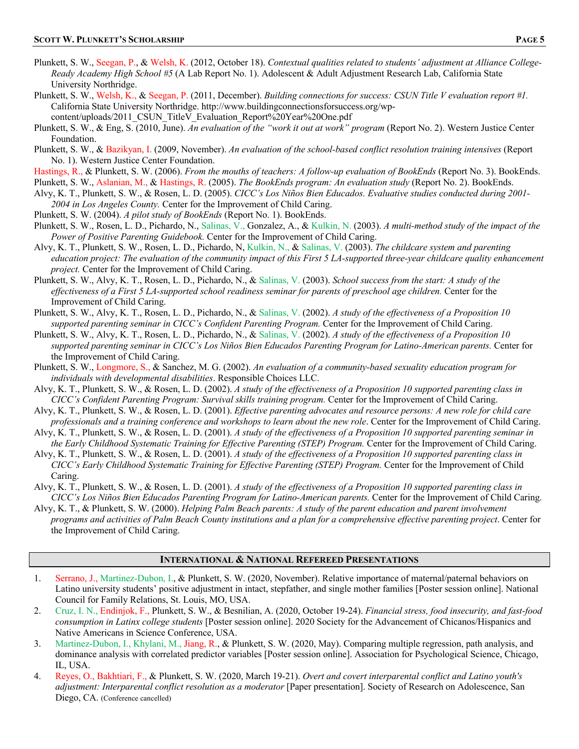- Plunkett, S. W., Seegan, P., & Welsh, K. (2012, October 18). *Contextual qualities related to students' adjustment at Alliance College-Ready Academy High School #5* (A Lab Report No. 1). Adolescent & Adult Adjustment Research Lab, California State University Northridge.
- Plunkett, S. W., Welsh, K., & Seegan, P. (2011, December). *Building connections for success: CSUN Title V evaluation report #1.* California State University Northridge. http://www.buildingconnectionsforsuccess.org/wpcontent/uploads/2011\_CSUN\_TitleV\_Evaluation\_Report%20Year%20One.pdf
- Plunkett, S. W., & Eng, S. (2010, June). *An evaluation of the "work it out at work" program* (Report No. 2). Western Justice Center Foundation.
- Plunkett, S. W., & Bazikyan, I. (2009, November). *An evaluation of the school-based conflict resolution training intensives* (Report No. 1). Western Justice Center Foundation.
- Hastings, R., & Plunkett, S. W. (2006). *From the mouths of teachers: A follow-up evaluation of BookEnds* (Report No. 3). BookEnds. Plunkett, S. W., Aslanian, M., & Hastings, R. (2005). *The BookEnds program: An evaluation study* (Report No. 2). BookEnds.
- Alvy, K. T., Plunkett, S. W., & Rosen, L. D. (2005). *CICC's Los Niños Bien Educados. Evaluative studies conducted during 2001- 2004 in Los Angeles County.* Center for the Improvement of Child Caring.
- Plunkett, S. W. (2004). *A pilot study of BookEnds* (Report No. 1). BookEnds.
- Plunkett, S. W., Rosen, L. D., Pichardo, N., Salinas, V., Gonzalez, A., & Kulkin, N. (2003). *A multi-method study of the impact of the Power of Positive Parenting Guidebook.* Center for the Improvement of Child Caring.
- Alvy, K. T., Plunkett, S. W., Rosen, L. D., Pichardo, N, Kulkin, N., & Salinas, V. (2003). *The childcare system and parenting education project: The evaluation of the community impact of this First 5 LA-supported three-year childcare quality enhancement project.* Center for the Improvement of Child Caring.
- Plunkett, S. W., Alvy, K. T., Rosen, L. D., Pichardo, N., & Salinas, V. (2003). *School success from the start: A study of the effectiveness of a First 5 LA-supported school readiness seminar for parents of preschool age children.* Center for the Improvement of Child Caring.
- Plunkett, S. W., Alvy, K. T., Rosen, L. D., Pichardo, N., & Salinas, V. (2002). *A study of the effectiveness of a Proposition 10 supported parenting seminar in CICC's Confident Parenting Program.* Center for the Improvement of Child Caring.
- Plunkett, S. W., Alvy, K. T., Rosen, L. D., Pichardo, N., & Salinas, V. (2002). *A study of the effectiveness of a Proposition 10 supported parenting seminar in CICC's Los Niños Bien Educados Parenting Program for Latino-American parents.* Center for the Improvement of Child Caring.
- Plunkett, S. W., Longmore, S., & Sanchez, M. G. (2002). *An evaluation of a community-based sexuality education program for individuals with developmental disabilities*. Responsible Choices LLC.
- Alvy, K. T., Plunkett, S. W., & Rosen, L. D. (2002). *A study of the effectiveness of a Proposition 10 supported parenting class in CICC's Confident Parenting Program: Survival skills training program.* Center for the Improvement of Child Caring.
- Alvy, K. T., Plunkett, S. W., & Rosen, L. D. (2001). *Effective parenting advocates and resource persons: A new role for child care professionals and a training conference and workshops to learn about the new role*. Center for the Improvement of Child Caring.
- Alvy, K. T., Plunkett, S. W., & Rosen, L. D. (2001). *A study of the effectiveness of a Proposition 10 supported parenting seminar in the Early Childhood Systematic Training for Effective Parenting (STEP) Program.* Center for the Improvement of Child Caring.
- Alvy, K. T., Plunkett, S. W., & Rosen, L. D. (2001). *A study of the effectiveness of a Proposition 10 supported parenting class in CICC's Early Childhood Systematic Training for Effective Parenting (STEP) Program.* Center for the Improvement of Child Caring.
- Alvy, K. T., Plunkett, S. W., & Rosen, L. D. (2001). *A study of the effectiveness of a Proposition 10 supported parenting class in CICC's Los Niños Bien Educados Parenting Program for Latino-American parents.* Center for the Improvement of Child Caring.
- Alvy, K. T., & Plunkett, S. W. (2000). *Helping Palm Beach parents: A study of the parent education and parent involvement programs and activities of Palm Beach County institutions and a plan for a comprehensive effective parenting project*. Center for the Improvement of Child Caring.

#### **INTERNATIONAL & NATIONAL REFEREED PRESENTATIONS**

- 1. Serrano, J., Martinez-Dubon, I., & Plunkett, S. W. (2020, November). Relative importance of maternal/paternal behaviors on Latino university students' positive adjustment in intact, stepfather, and single mother families [Poster session online]. National Council for Family Relations, St. Louis, MO, USA.
- 2. Cruz, I. N., Endinjok, F., Plunkett, S. W., & Besnilian, A. (2020, October 19-24). *Financial stress, food insecurity, and fast-food consumption in Latinx college students* [Poster session online]. 2020 Society for the Advancement of Chicanos/Hispanics and Native Americans in Science Conference, USA.
- 3. Martinez-Dubon, I., Khylani, M., Jiang, R., & Plunkett, S. W. (2020, May). Comparing multiple regression, path analysis, and dominance analysis with correlated predictor variables [Poster session online]. Association for Psychological Science, Chicago, IL, USA.
- 4. Reyes, O., Bakhtiari, F., & Plunkett, S. W. (2020, March 19-21). *Overt and covert interparental conflict and Latino youth's adjustment: Interparental conflict resolution as a moderator* [Paper presentation]. Society of Research on Adolescence, San Diego, CA. (Conference cancelled)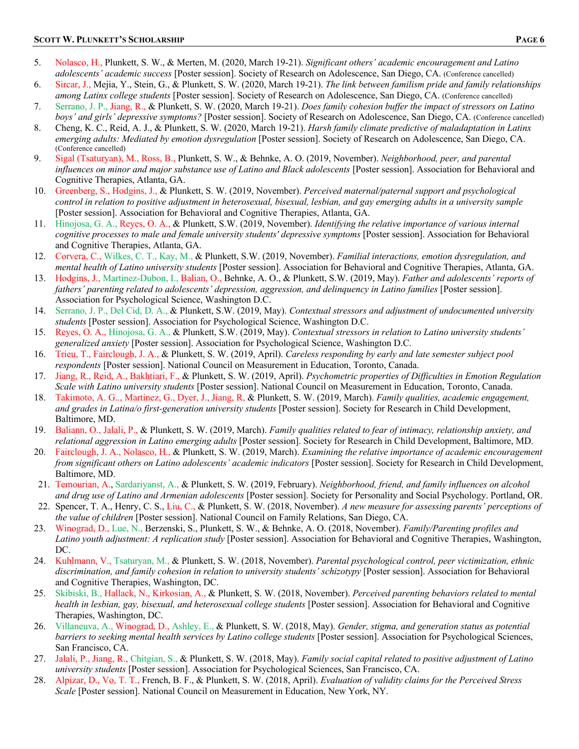- 5. Nolasco, H., Plunkett, S. W., & Merten, M. (2020, March 19-21). *Significant others' academic encouragement and Latino adolescents' academic success* [Poster session]. Society of Research on Adolescence, San Diego, CA. (Conference cancelled)
- 6. Sircar, J., Mejia, Y., Stein, G., & Plunkett, S. W. (2020, March 19-21). *The link between familism pride and family relationships among Latinx college students* [Poster session]. Society of Research on Adolescence, San Diego, CA. (Conference cancelled)
- 7. Serrano, J. P., Jiang, R., & Plunkett, S. W. (2020, March 19-21). *Does family cohesion buffer the impact of stressors on Latino boys' and girls' depressive symptoms?* [Poster session]. Society of Research on Adolescence, San Diego, CA. (Conference cancelled)
- 8. Cheng, K. C., Reid, A. J., & Plunkett, S. W. (2020, March 19-21). *Harsh family climate predictive of maladaptation in Latinx emerging adults: Mediated by emotion dysregulation* [Poster session]. Society of Research on Adolescence, San Diego, CA. (Conference cancelled)
- 9. Sigal (Tsaturyan), M., Ross, B., Plunkett, S. W., & Behnke, A. O. (2019, November). *Neighborhood, peer, and parental influences on minor and major substance use of Latino and Black adolescents* [Poster session]. Association for Behavioral and Cognitive Therapies, Atlanta, GA.
- 10. Greenberg, S., Hodgins, J., & Plunkett, S. W. (2019, November). *Perceived maternal/paternal support and psychological control in relation to positive adjustment in heterosexual, bisexual, lesbian, and gay emerging adults in a university sample* [Poster session]. Association for Behavioral and Cognitive Therapies, Atlanta, GA.
- 11. Hinojosa, G. A., Reyes, O. A., & Plunkett, S.W. (2019, November). *Identifying the relative importance of various internal cognitive processes to male and female university students' depressive symptoms* [Poster session]. Association for Behavioral and Cognitive Therapies, Atlanta, GA.
- 12. Corvera, C., Wilkes, C. T., Kay, M., & Plunkett, S.W. (2019, November). *Familial interactions, emotion dysregulation, and mental health of Latino university students* [Poster session]. Association for Behavioral and Cognitive Therapies, Atlanta, GA.
- 13. Hodgins, J., Martinez-Dubon, I., Balian, O., Behnke, A. O., & Plunkett, S.W. (2019, May). *Father and adolescents' reports of fathers' parenting related to adolescents' depression, aggression, and delinquency in Latino families* [Poster session]. Association for Psychological Science, Washington D.C.
- 14. Serrano, J. P., Del Cid, D. A., & Plunkett, S.W. (2019, May). *Contextual stressors and adjustment of undocumented university students* [Poster session]. Association for Psychological Science, Washington D.C.
- 15. Reyes, O. A., Hinojosa, G. A., & Plunkett, S.W. (2019, May). *Contextual stressors in relation to Latino university students' generalized anxiety* [Poster session]. Association for Psychological Science, Washington D.C.
- 16. Trieu, T., Fairclough, J. A., & Plunkett, S. W. (2019, April). *Careless responding by early and late semester subject pool respondents* [Poster session]. National Council on Measurement in Education, Toronto, Canada.
- 17. Jiang, R., Reid, A., Bakhtiari, F., & Plunkett, S. W. (2019, April). *Psychometric properties of Difficulties in Emotion Regulation Scale with Latino university students* [Poster session]. National Council on Measurement in Education, Toronto, Canada.
- 18. Takimoto, A. G.., Martinez, G., Dyer, J., Jiang, R, & Plunkett, S. W. (2019, March). *Family qualities, academic engagement, and grades in Latina/o first-generation university students* [Poster session]. Society for Research in Child Development, Baltimore, MD.
- 19. Baliann, O., Jalali, P., & Plunkett, S. W. (2019, March). *Family qualities related to fear of intimacy, relationship anxiety, and relational aggression in Latino emerging adults* [Poster session]. Society for Research in Child Development, Baltimore, MD.
- 20. Fairclough, J. A., Nolasco, H., & Plunkett, S. W. (2019, March). *Examining the relative importance of academic encouragement from significant others on Latino adolescents' academic indicators* [Poster session]. Society for Research in Child Development, Baltimore, MD.
- 21. Temourian, A., Sardariyanst, A., & Plunkett, S. W. (2019, February). *Neighborhood, friend, and family influences on alcohol and drug use of Latino and Armenian adolescents* [Poster session]. Society for Personality and Social Psychology. Portland, OR.
- 22. Spencer, T. A., Henry, C. S., Liu, C., & Plunkett, S. W. (2018, November). *A new measure for assessing parents' perceptions of the value of children* [Poster session]. National Council on Family Relations, San Diego, CA.
- 23. Winograd, D., Lue, N., Berzenski, S., Plunkett, S. W., & Behnke, A. O. (2018, November). *Family/Parenting profiles and Latino youth adjustment: A replication study* [Poster session]. Association for Behavioral and Cognitive Therapies, Washington, DC.
- 24. Kuhlmann, V., Tsaturyan, M., & Plunkett, S. W. (2018, November). *Parental psychological control, peer victimization, ethnic discrimination, and family cohesion in relation to university students' schizotypy* [Poster session]. Association for Behavioral and Cognitive Therapies, Washington, DC.
- 25. Skibiski, B., Hallack, N., Kirkosian, A., & Plunkett, S. W. (2018, November). *Perceived parenting behaviors related to mental health in lesbian, gay, bisexual, and heterosexual college students* [Poster session]. Association for Behavioral and Cognitive Therapies, Washington, DC.
- 26. Villaneuva, A., Winograd, D., Ashley, E., & Plunkett, S. W. (2018, May). *Gender, stigma, and generation status as potential barriers to seeking mental health services by Latino college students* [Poster session]. Association for Psychological Sciences, San Francisco, CA.
- 27. Jalali, P., Jiang, R., Chitgian, S., & Plunkett, S. W. (2018, May). *Family social capital related to positive adjustment of Latino university students* [Poster session]. Association for Psychological Sciences, San Francisco, CA.
- 28. Alpizar, D., Vo, T. T., French, B. F., & Plunkett, S. W. (2018, April). *Evaluation of validity claims for the Perceived Stress Scale* [Poster session]. National Council on Measurement in Education, New York, NY.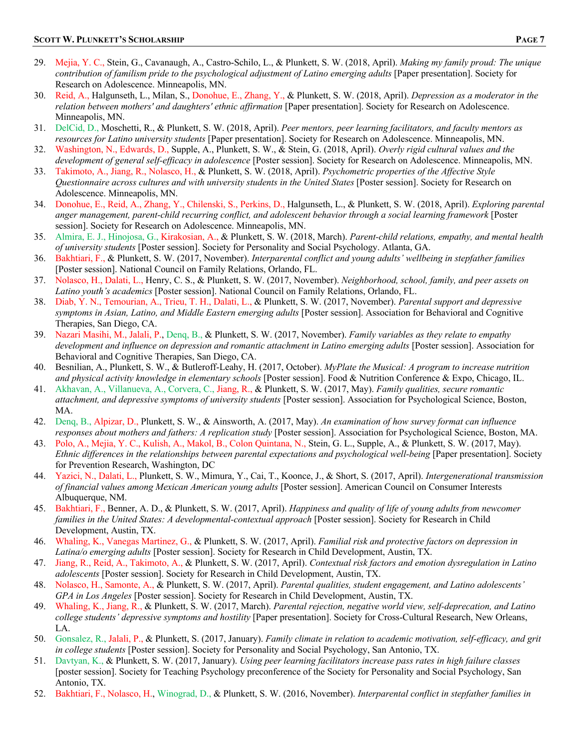- 29. Mejia, Y. C., Stein, G., Cavanaugh, A., Castro-Schilo, L., & Plunkett, S. W. (2018, April). *Making my family proud: The unique contribution of familism pride to the psychological adjustment of Latino emerging adults* [Paper presentation]. Society for Research on Adolescence. Minneapolis, MN.
- 30. Reid, A., Halgunseth, L., Milan, S., Donohue, E., Zhang, Y., & Plunkett, S. W. (2018, April). *Depression as a moderator in the relation between mothers' and daughters' ethnic affirmation* [Paper presentation]. Society for Research on Adolescence. Minneapolis, MN.
- 31. DelCid, D., Moschetti, R., & Plunkett, S. W. (2018, April). *Peer mentors, peer learning facilitators, and faculty mentors as resources for Latino university students* [Paper presentation]. Society for Research on Adolescence. Minneapolis, MN.
- 32. Washington, N., Edwards, D., Supple, A., Plunkett, S. W., & Stein, G. (2018, April). *Overly rigid cultural values and the development of general self-efficacy in adolescence* [Poster session]. Society for Research on Adolescence. Minneapolis, MN.
- 33. Takimoto, A., Jiang, R., Nolasco, H., & Plunkett, S. W. (2018, April). *Psychometric properties of the Affective Style Questionnaire across cultures and with university students in the United States* [Poster session]. Society for Research on Adolescence. Minneapolis, MN.
- 34. Donohue, E., Reid, A., Zhang, Y., Chilenski, S., Perkins, D., Halgunseth, L., & Plunkett, S. W. (2018, April). *Exploring parental anger management, parent-child recurring conflict, and adolescent behavior through a social learning framework* [Poster session]. Society for Research on Adolescence. Minneapolis, MN.
- 35. Almira, E. J., Hinojosa, G., Kirakosian, A., & Plunkett, S. W. (2018, March). *Parent-child relations, empathy, and mental health of university students* [Poster session]. Society for Personality and Social Psychology. Atlanta, GA.
- 36. Bakhtiari, F., & Plunkett, S. W. (2017, November). *Interparental conflict and young adults' wellbeing in stepfather families* [Poster session]. National Council on Family Relations, Orlando, FL.
- 37. Nolasco, H., Dalati, L., Henry, C. S., & Plunkett, S. W. (2017, November). *Neighborhood, school, family, and peer assets on Latino youth's academics* [Poster session]. National Council on Family Relations, Orlando, FL.
- 38. Diab, Y. N., Temourian, A., Trieu, T. H., Dalati, L., & Plunkett, S. W. (2017, November). *Parental support and depressive symptoms in Asian, Latino, and Middle Eastern emerging adults* [Poster session]. Association for Behavioral and Cognitive Therapies, San Diego, CA.
- 39. Nazari Masihi, M., Jalali, P., Denq, B., & Plunkett, S. W. (2017, November). *Family variables as they relate to empathy development and influence on depression and romantic attachment in Latino emerging adults* [Poster session]. Association for Behavioral and Cognitive Therapies, San Diego, CA.
- 40. Besnilian, A., Plunkett, S. W., & Butleroff-Leahy, H. (2017, October). *MyPlate the Musical: A program to increase nutrition and physical activity knowledge in elementary schools* [Poster session]. Food & Nutrition Conference & Expo, Chicago, IL.
- 41. Akhavan, A., Villanueva, A., Corvera, C., Jiang, R., & Plunkett, S. W. (2017, May). *Family qualities, secure romantic attachment, and depressive symptoms of university students* [Poster session]. Association for Psychological Science, Boston, MA.
- 42. Denq, B., Alpizar, D., Plunkett, S. W., & Ainsworth, A. (2017, May). *An examination of how survey format can influence responses about mothers and fathers: A replication study* [Poster session]. Association for Psychological Science, Boston, MA.
- 43. Polo, A., Mejia, Y. C., Kulish, A., Makol, B., Colon Quintana, N., Stein, G. L., Supple, A., & Plunkett, S. W. (2017, May). *Ethnic differences in the relationships between parental expectations and psychological well-being* [Paper presentation]. Society for Prevention Research, Washington, DC
- 44. Yazici, N., Dalati, L., Plunkett, S. W., Mimura, Y., Cai, T., Koonce, J., & Short, S. (2017, April). *Intergenerational transmission of financial values among Mexican American young adults* [Poster session]. American Council on Consumer Interests Albuquerque, NM.
- 45. Bakhtiari, F., Benner, A. D., & Plunkett, S. W. (2017, April). *Happiness and quality of life of young adults from newcomer families in the United States: A developmental-contextual approach* [Poster session]. Society for Research in Child Development, Austin, TX.
- 46. Whaling, K., Vanegas Martinez, G., & Plunkett, S. W. (2017, April). *Familial risk and protective factors on depression in Latina/o emerging adults* [Poster session]. Society for Research in Child Development, Austin, TX.
- 47. Jiang, R., Reid, A., Takimoto, A., & Plunkett, S. W. (2017, April). *Contextual risk factors and emotion dysregulation in Latino adolescents* [Poster session]. Society for Research in Child Development, Austin, TX.
- 48. Nolasco, H., Samonte, A., & Plunkett, S. W. (2017, April). *Parental qualities, student engagement, and Latino adolescents' GPA in Los Angeles* [Poster session]. Society for Research in Child Development, Austin, TX.
- 49. Whaling, K., Jiang, R., & Plunkett, S. W. (2017, March). *Parental rejection, negative world view, self-deprecation, and Latino college students' depressive symptoms and hostility* [Paper presentation]. Society for Cross-Cultural Research, New Orleans, LA.
- 50. Gonsalez, R., Jalali, P., & Plunkett, S. (2017, January). *Family climate in relation to academic motivation, self-efficacy, and grit in college students* [Poster session]. Society for Personality and Social Psychology, San Antonio, TX.
- 51. Davtyan, K., & Plunkett, S. W. (2017, January). *Using peer learning facilitators increase pass rates in high failure classes* [poster session]. Society for Teaching Psychology preconference of the Society for Personality and Social Psychology, San Antonio, TX.
- 52. Bakhtiari, F., Nolasco, H., Winograd, D., & Plunkett, S. W. (2016, November). *Interparental conflict in stepfather families in*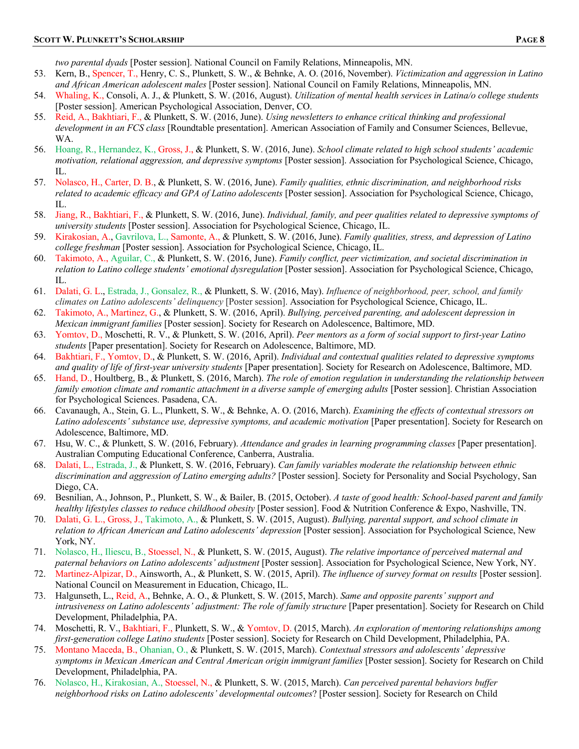*two parental dyads* [Poster session]. National Council on Family Relations, Minneapolis, MN.

- 53. Kern, B., Spencer, T., Henry, C. S., Plunkett, S. W., & Behnke, A. O. (2016, November). *Victimization and aggression in Latino and African American adolescent males* [Poster session]. National Council on Family Relations, Minneapolis, MN.
- 54. Whaling, K., Consoli, A. J., & Plunkett, S. W. (2016, August). *Utilization of mental health services in Latina/o college students* [Poster session]. American Psychological Association, Denver, CO.
- 55. Reid, A., Bakhtiari, F., & Plunkett, S. W. (2016, June). *Using newsletters to enhance critical thinking and professional development in an FCS class* [Roundtable presentation]. American Association of Family and Consumer Sciences, Bellevue, WA.
- 56. Hoang, R., Hernandez, K., Gross, J., & Plunkett, S. W. (2016, June). *School climate related to high school students' academic motivation, relational aggression, and depressive symptoms* [Poster session]. Association for Psychological Science, Chicago, IL.
- 57. Nolasco, H., Carter, D. B., & Plunkett, S. W. (2016, June). *Family qualities, ethnic discrimination, and neighborhood risks related to academic efficacy and GPA of Latino adolescents* [Poster session]. Association for Psychological Science, Chicago, IL.
- 58. Jiang, R., Bakhtiari, F., & Plunkett, S. W. (2016, June). *Individual, family, and peer qualities related to depressive symptoms of university students* [Poster session]. Association for Psychological Science, Chicago, IL.
- 59. Kirakosian, A., Gavrilova, L., Samonte, A., & Plunkett, S. W. (2016, June). *Family qualities, stress, and depression of Latino college freshman* [Poster session]. Association for Psychological Science, Chicago, IL.
- 60. Takimoto, A., Aguilar, C., & Plunkett, S. W. (2016, June). *Family conflict, peer victimization, and societal discrimination in relation to Latino college students' emotional dysregulation* [Poster session]. Association for Psychological Science, Chicago, IL.
- 61. Dalati, G. L., Estrada, J., Gonsalez, R., & Plunkett, S. W. (2016, May). *Influence of neighborhood, peer, school, and family climates on Latino adolescents' delinquency* [Poster session]. Association for Psychological Science, Chicago, IL.
- 62. Takimoto, A., Martinez, G., & Plunkett, S. W. (2016, April). *Bullying, perceived parenting, and adolescent depression in Mexican immigrant families* [Poster session]. Society for Research on Adolescence, Baltimore, MD.
- 63. Yomtov, D., Moschetti, R. V., & Plunkett, S. W. (2016, April). *Peer mentors as a form of social support to first-year Latino students* [Paper presentation]. Society for Research on Adolescence, Baltimore, MD.
- 64. Bakhtiari, F., Yomtov, D., & Plunkett, S. W. (2016, April). *Individual and contextual qualities related to depressive symptoms and quality of life of first-year university students* [Paper presentation]. Society for Research on Adolescence, Baltimore, MD.
- 65. Hand, D., Houltberg, B., & Plunkett, S. (2016, March). *The role of emotion regulation in understanding the relationship between family emotion climate and romantic attachment in a diverse sample of emerging adults* [Poster session]. Christian Association for Psychological Sciences. Pasadena, CA.
- 66. Cavanaugh, A., Stein, G. L., Plunkett, S. W., & Behnke, A. O. (2016, March). *Examining the effects of contextual stressors on Latino adolescents' substance use, depressive symptoms, and academic motivation* [Paper presentation]. Society for Research on Adolescence, Baltimore, MD.
- 67. Hsu, W. C., & Plunkett, S. W. (2016, February). *Attendance and grades in learning programming classes* [Paper presentation]. Australian Computing Educational Conference, Canberra, Australia.
- 68. Dalati, L., Estrada, J., & Plunkett, S. W. (2016, February). *Can family variables moderate the relationship between ethnic discrimination and aggression of Latino emerging adults?* [Poster session]. Society for Personality and Social Psychology, San Diego, CA.
- 69. Besnilian, A., Johnson, P., Plunkett, S. W., & Bailer, B. (2015, October). *A taste of good health: School-based parent and family healthy lifestyles classes to reduce childhood obesity* [Poster session]. Food & Nutrition Conference & Expo, Nashville, TN.
- 70. Dalati, G. L., Gross, J., Takimoto, A., & Plunkett, S. W. (2015, August). *Bullying, parental support, and school climate in relation to African American and Latino adolescents' depression* [Poster session]. Association for Psychological Science, New York, NY.
- 71. Nolasco, H., Iliescu, B., Stoessel, N., & Plunkett, S. W. (2015, August). *The relative importance of perceived maternal and paternal behaviors on Latino adolescents' adjustment* [Poster session]. Association for Psychological Science, New York, NY.
- 72. Martinez-Alpizar, D., Ainsworth, A., & Plunkett, S. W. (2015, April). *The influence of survey format on results* [Poster session]. National Council on Measurement in Education, Chicago, IL.
- 73. Halgunseth, L., Reid, A., Behnke, A. O., & Plunkett, S. W. (2015, March). *Same and opposite parents' support and intrusiveness on Latino adolescents' adjustment: The role of family structure* [Paper presentation]. Society for Research on Child Development, Philadelphia, PA.
- 74. Moschetti, R. V., Bakhtiari, F., Plunkett, S. W., & Yomtov, D. (2015, March). *An exploration of mentoring relationships among first-generation college Latino students* [Poster session]. Society for Research on Child Development, Philadelphia, PA.
- 75. Montano Maceda, B., Ohanian, O., & Plunkett, S. W. (2015, March). *Contextual stressors and adolescents' depressive symptoms in Mexican American and Central American origin immigrant families* [Poster session]. Society for Research on Child Development, Philadelphia, PA.
- 76. Nolasco, H., Kirakosian, A., Stoessel, N., & Plunkett, S. W. (2015, March). *Can perceived parental behaviors buffer neighborhood risks on Latino adolescents' developmental outcomes*? [Poster session]. Society for Research on Child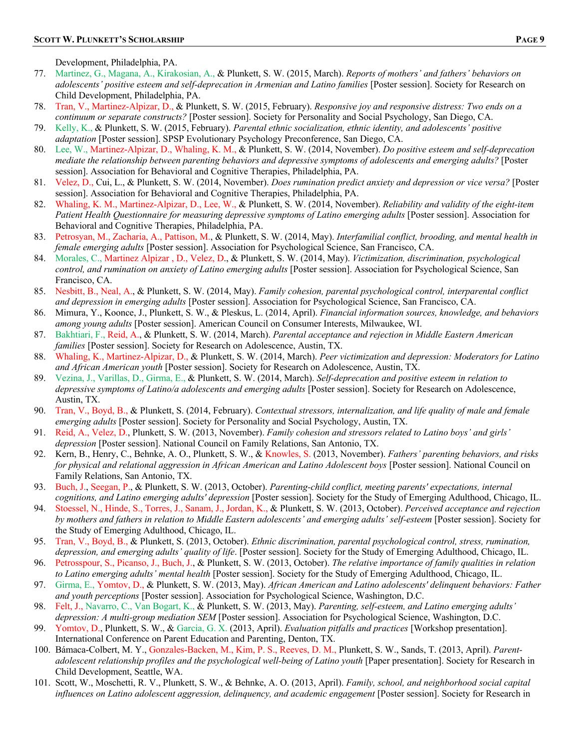Development, Philadelphia, PA.

- 77. Martinez, G., Magana, A., Kirakosian, A., & Plunkett, S. W. (2015, March). *Reports of mothers' and fathers' behaviors on adolescents' positive esteem and self-deprecation in Armenian and Latino families* [Poster session]. Society for Research on Child Development, Philadelphia, PA.
- 78. Tran, V., Martinez-Alpizar, D., & Plunkett, S. W. (2015, February). *Responsive joy and responsive distress: Two ends on a continuum or separate constructs?* [Poster session]. Society for Personality and Social Psychology, San Diego, CA.
- 79. Kelly, K., & Plunkett, S. W. (2015, February). *Parental ethnic socialization, ethnic identity, and adolescents' positive adaptation* [Poster session]. SPSP Evolutionary Psychology Preconference, San Diego, CA.
- 80. Lee, W., Martinez-Alpizar, D., Whaling, K. M., & Plunkett, S. W. (2014, November). *Do positive esteem and self-deprecation mediate the relationship between parenting behaviors and depressive symptoms of adolescents and emerging adults?* [Poster session]. Association for Behavioral and Cognitive Therapies, Philadelphia, PA.
- 81. Velez, D., Cui, L., & Plunkett, S. W. (2014, November). *Does rumination predict anxiety and depression or vice versa?* [Poster session]. Association for Behavioral and Cognitive Therapies, Philadelphia, PA.
- 82. Whaling, K. M., Martinez-Alpizar, D., Lee, W., & Plunkett, S. W. (2014, November). *Reliability and validity of the eight-item Patient Health Questionnaire for measuring depressive symptoms of Latino emerging adults* [Poster session]. Association for Behavioral and Cognitive Therapies, Philadelphia, PA.
- 83. Petrosyan, M., Zacharia, A., Pattison, M., & Plunkett, S. W. (2014, May). *Interfamilial conflict, brooding, and mental health in female emerging adults* [Poster session]. Association for Psychological Science, San Francisco, CA.
- 84. Morales, C., Martinez Alpizar , D., Velez, D., & Plunkett, S. W. (2014, May). *Victimization, discrimination, psychological control, and rumination on anxiety of Latino emerging adults* [Poster session]. Association for Psychological Science, San Francisco, CA.
- 85. Nesbitt, B., Neal, A., & Plunkett, S. W. (2014, May). *Family cohesion, parental psychological control, interparental conflict and depression in emerging adults* [Poster session]. Association for Psychological Science, San Francisco, CA.
- 86. Mimura, Y., Koonce, J., Plunkett, S. W., & Pleskus, L. (2014, April). *Financial information sources, knowledge, and behaviors among young adults* [Poster session]. American Council on Consumer Interests, Milwaukee, WI.
- 87. Bakhtiari, F., Reid, A., & Plunkett, S. W. (2014, March). *Parental acceptance and rejection in Middle Eastern American families* [Poster session]. Society for Research on Adolescence, Austin, TX.
- 88. Whaling, K., Martinez-Alpizar, D., & Plunkett, S. W. (2014, March). *Peer victimization and depression: Moderators for Latino and African American youth* [Poster session]. Society for Research on Adolescence, Austin, TX.
- 89. Vezina, J., Varillas, D., Girma, E., & Plunkett, S. W. (2014, March). *Self-deprecation and positive esteem in relation to depressive symptoms of Latino/a adolescents and emerging adults* [Poster session]. Society for Research on Adolescence, Austin, TX.
- 90. Tran, V., Boyd, B., & Plunkett, S. (2014, February). *Contextual stressors, internalization, and life quality of male and female emerging adults* [Poster session]. Society for Personality and Social Psychology, Austin, TX.
- 91. Reid, A., Velez, D., Plunkett, S. W. (2013, November). *Family cohesion and stressors related to Latino boys' and girls' depression* [Poster session]. National Council on Family Relations, San Antonio, TX.
- 92. Kern, B., Henry, C., Behnke, A. O., Plunkett, S. W., & Knowles, S. (2013, November). *Fathers' parenting behaviors, and risks for physical and relational aggression in African American and Latino Adolescent boys* [Poster session]. National Council on Family Relations, San Antonio, TX.
- 93. Buch, J., Seegan, P., & Plunkett, S. W. (2013, October). *Parenting-child conflict, meeting parents' expectations, internal cognitions, and Latino emerging adults' depression* [Poster session]. Society for the Study of Emerging Adulthood, Chicago, IL.
- 94. Stoessel, N., Hinde, S., Torres, J., Sanam, J., Jordan, K., & Plunkett, S. W. (2013, October). *Perceived acceptance and rejection by mothers and fathers in relation to Middle Eastern adolescents' and emerging adults' self-esteem* [Poster session]. Society for the Study of Emerging Adulthood, Chicago, IL.
- 95. Tran, V., Boyd, B., & Plunkett, S. (2013, October). *Ethnic discrimination, parental psychological control, stress, rumination, depression, and emerging adults' quality of life*. [Poster session]. Society for the Study of Emerging Adulthood, Chicago, IL.
- 96. Petrosspour, S., Picanso, J., Buch, J., & Plunkett, S. W. (2013, October). *The relative importance of family qualities in relation to Latino emerging adults' mental health* [Poster session]. Society for the Study of Emerging Adulthood, Chicago, IL.
- 97. Girma, E., Yomtov, D., & Plunkett, S. W. (2013, May). *African American and Latino adolescents' delinquent behaviors: Father and youth perceptions* [Poster session]. Association for Psychological Science, Washington, D.C.
- 98. Felt, J., Navarro, C., Van Bogart, K., & Plunkett, S. W. (2013, May). *Parenting, self-esteem, and Latino emerging adults' depression: A multi-group mediation SEM* [Poster session]. Association for Psychological Science, Washington, D.C.
- 99. Yomtov, D., Plunkett, S. W., & Garcia, G. X. (2013, April). *Evaluation pitfalls and practices* [Workshop presentation]. International Conference on Parent Education and Parenting, Denton, TX.
- 100. Bámaca-Colbert, M. Y., Gonzales-Backen, M., Kim, P. S., Reeves, D. M., Plunkett, S. W., Sands, T. (2013, April). *Parentadolescent relationship profiles and the psychological well-being of Latino youth* [Paper presentation]. Society for Research in Child Development, Seattle, WA.
- 101. Scott, W., Moschetti, R. V., Plunkett, S. W., & Behnke, A. O. (2013, April). *Family, school, and neighborhood social capital influences on Latino adolescent aggression, delinquency, and academic engagement* [Poster session]. Society for Research in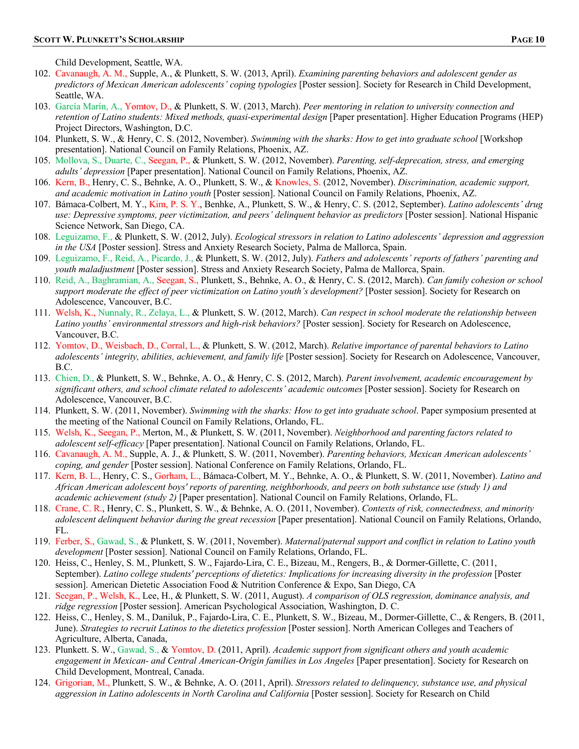Child Development, Seattle, WA.

- 102. Cavanaugh, A. M., Supple, A., & Plunkett, S. W. (2013, April). *Examining parenting behaviors and adolescent gender as predictors of Mexican American adolescents' coping typologies* [Poster session]. Society for Research in Child Development, Seattle, WA.
- 103. García Marín, A., Yomtov, D., & Plunkett, S. W. (2013, March). *Peer mentoring in relation to university connection and retention of Latino students: Mixed methods, quasi-experimental design* [Paper presentation]. Higher Education Programs (HEP) Project Directors, Washington, D.C.
- 104. Plunkett, S. W., & Henry, C. S. (2012, November). *Swimming with the sharks: How to get into graduate school* [Workshop presentation]. National Council on Family Relations, Phoenix, AZ.
- 105. Mollova, S., Duarte, C., Seegan, P., & Plunkett, S. W. (2012, November). *Parenting, self-deprecation, stress, and emerging adults' depression* [Paper presentation]. National Council on Family Relations, Phoenix, AZ.
- 106. Kern, B., Henry, C. S., Behnke, A. O., Plunkett, S. W., & Knowles, S. (2012, November). *Discrimination, academic support, and academic motivation in Latino youth* [Poster session]. National Council on Family Relations, Phoenix, AZ.
- 107. Bámaca-Colbert, M. Y., Kim, P. S. Y., Benhke, A., Plunkett, S. W., & Henry, C. S. (2012, September). *Latino adolescents' drug use: Depressive symptoms, peer victimization, and peers' delinquent behavior as predictors* [Poster session]. National Hispanic Science Network, San Diego, CA.
- 108. Leguizamo, F., & Plunkett, S. W. (2012, July). *Ecological stressors in relation to Latino adolescents' depression and aggression in the USA* [Poster session]. Stress and Anxiety Research Society, Palma de Mallorca, Spain.
- 109. Leguizamo, F., Reid, A., Picardo, J., & Plunkett, S. W. (2012, July). *Fathers and adolescents' reports of fathers' parenting and youth maladjustment* [Poster session]. Stress and Anxiety Research Society, Palma de Mallorca, Spain.
- 110. Reid, A., Baghramian, A., Seegan, S., Plunkett, S., Behnke, A. O., & Henry, C. S. (2012, March). *Can family cohesion or school support moderate the effect of peer victimization on Latino youth's development?* [Poster session]. Society for Research on Adolescence, Vancouver, B.C.
- 111. Welsh, K., Nunnaly, R., Zelaya, L., & Plunkett, S. W. (2012, March). *Can respect in school moderate the relationship between Latino youths' environmental stressors and high-risk behaviors?* [Poster session]. Society for Research on Adolescence, Vancouver, B.C.
- 112. Yomtov, D., Weisbach, D., Corral, L., & Plunkett, S. W. (2012, March). *Relative importance of parental behaviors to Latino adolescents' integrity, abilities, achievement, and family life* [Poster session]. Society for Research on Adolescence, Vancouver, B.C.
- 113. Chien, D., & Plunkett, S. W., Behnke, A. O., & Henry, C. S. (2012, March). *Parent involvement, academic encouragement by significant others, and school climate related to adolescents' academic outcomes* [Poster session]. Society for Research on Adolescence, Vancouver, B.C.
- 114. Plunkett, S. W. (2011, November). *Swimming with the sharks: How to get into graduate school*. Paper symposium presented at the meeting of the National Council on Family Relations, Orlando, FL.
- 115. Welsh, K., Seegan, P., Merton, M., & Plunkett, S. W. (2011, November). *Neighborhood and parenting factors related to adolescent self-efficacy* [Paper presentation]. National Council on Family Relations, Orlando, FL.
- 116. Cavanaugh, A. M., Supple, A. J., & Plunkett, S. W. (2011, November). *Parenting behaviors, Mexican American adolescents' coping, and gender* [Poster session]. National Conference on Family Relations, Orlando, FL.
- 117. Kern, B. L., Henry, C. S., Gorham, L., Bámaca-Colbert, M. Y., Behnke, A. O., & Plunkett, S. W. (2011, November). *Latino and African American adolescent boys' reports of parenting, neighborhoods, and peers on both substance use (study 1) and academic achievement (study 2)* [Paper presentation]. National Council on Family Relations, Orlando, FL.
- 118. Crane, C. R., Henry, C. S., Plunkett, S. W., & Behnke, A. O. (2011, November). *Contexts of risk, connectedness, and minority adolescent delinquent behavior during the great recession* [Paper presentation]. National Council on Family Relations, Orlando, FL.
- 119. Ferber, S., Gawad, S., & Plunkett, S. W. (2011, November). *Maternal/paternal support and conflict in relation to Latino youth development* [Poster session]. National Council on Family Relations, Orlando, FL.
- 120. Heiss, C., Henley, S. M., Plunkett, S. W., Fajardo-Lira, C. E., Bizeau, M., Rengers, B., & Dormer-Gillette, C. (2011, September). *Latino college students' perceptions of dietetics: Implications for increasing diversity in the profession* [Poster session]. American Dietetic Association Food & Nutrition Conference & Expo, San Diego, CA
- 121. Seegan, P., Welsh, K., Lee, H., & Plunkett, S. W. (2011, August). *A comparison of OLS regression, dominance analysis, and ridge regression* [Poster session]. American Psychological Association, Washington, D. C.
- 122. Heiss, C., Henley, S. M., Daniluk, P., Fajardo-Lira, C. E., Plunkett, S. W., Bizeau, M., Dormer-Gillette, C., & Rengers, B. (2011, June). *Strategies to recruit Latinos to the dietetics profession* [Poster session]. North American Colleges and Teachers of Agriculture, Alberta, Canada,
- 123. Plunkett. S. W., Gawad, S., & Yomtov, D. (2011, April). *Academic support from significant others and youth academic engagement in Mexican- and Central American-Origin families in Los Angeles* [Paper presentation]. Society for Research on Child Development, Montreal, Canada.
- 124. Grigorian, M., Plunkett, S. W., & Behnke, A. O. (2011, April). *Stressors related to delinquency, substance use, and physical aggression in Latino adolescents in North Carolina and California* [Poster session]. Society for Research on Child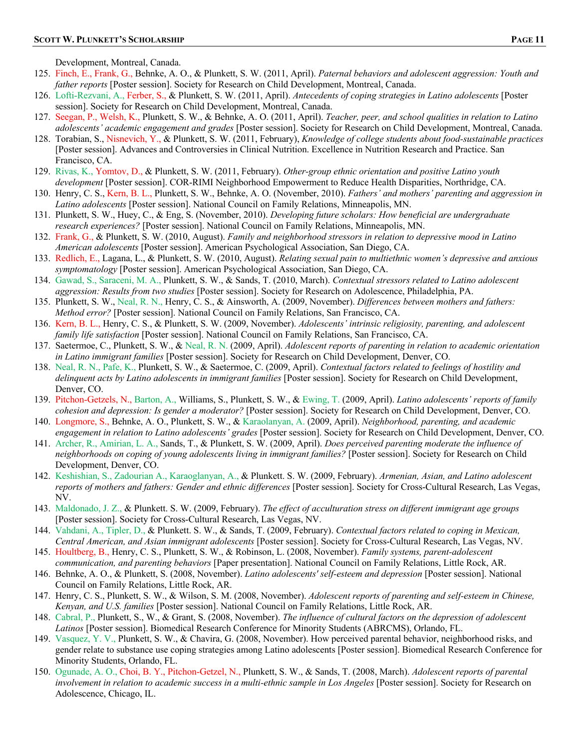Development, Montreal, Canada.

- 125. Finch, E., Frank, G., Behnke, A. O., & Plunkett, S. W. (2011, April). *Paternal behaviors and adolescent aggression: Youth and father reports* [Poster session]. Society for Research on Child Development, Montreal, Canada.
- 126. Lofti-Rezvani, A., Ferber, S., & Plunkett, S. W. (2011, April). *Antecedents of coping strategies in Latino adolescents* [Poster session]. Society for Research on Child Development, Montreal, Canada.
- 127. Seegan, P., Welsh, K., Plunkett, S. W., & Behnke, A. O. (2011, April). *Teacher, peer, and school qualities in relation to Latino adolescents' academic engagement and grades* [Poster session]. Society for Research on Child Development, Montreal, Canada.
- 128. Torabian, S., Nisnevich, Y., & Plunkett, S. W. (2011, February), *Knowledge of college students about food-sustainable practices* [Poster session]. Advances and Controversies in Clinical Nutrition. Excellence in Nutrition Research and Practice. San Francisco, CA.
- 129. Rivas, K., Yomtov, D., & Plunkett, S. W. (2011, February). *Other-group ethnic orientation and positive Latino youth development* [Poster session]. COR-RIMI Neighborhood Empowerment to Reduce Health Disparities, Northridge, CA.
- 130. Henry, C. S., Kern, B. L., Plunkett, S. W., Behnke, A. O. (November, 2010). *Fathers' and mothers' parenting and aggression in Latino adolescents* [Poster session]. National Council on Family Relations, Minneapolis, MN.
- 131. Plunkett, S. W., Huey, C., & Eng, S. (November, 2010). *Developing future scholars: How beneficial are undergraduate research experiences?* [Poster session]. National Council on Family Relations, Minneapolis, MN.
- 132. Frank, G., & Plunkett, S. W. (2010, August). *Family and neighborhood stressors in relation to depressive mood in Latino American adolescents* [Poster session]. American Psychological Association, San Diego, CA.
- 133. Redlich, E., Lagana, L., & Plunkett, S. W. (2010, August). *Relating sexual pain to multiethnic women's depressive and anxious symptomatology* [Poster session]. American Psychological Association, San Diego, CA.
- 134. Gawad, S., Saraceni, M. A., Plunkett, S. W., & Sands, T. (2010, March). *Contextual stressors related to Latino adolescent aggression: Results from two studies* [Poster session]. Society for Research on Adolescence, Philadelphia, PA.
- 135. Plunkett, S. W., Neal, R. N., Henry, C. S., & Ainsworth, A. (2009, November). *Differences between mothers and fathers: Method error?* [Poster session]. National Council on Family Relations, San Francisco, CA.
- 136. Kern, B. L., Henry, C. S., & Plunkett, S. W. (2009, November). *Adolescents' intrinsic religiosity, parenting, and adolescent family life satisfaction* [Poster session]. National Council on Family Relations, San Francisco, CA.
- 137. Saetermoe, C., Plunkett, S. W., & Neal, R. N. (2009, April). *Adolescent reports of parenting in relation to academic orientation in Latino immigrant families* [Poster session]. Society for Research on Child Development, Denver, CO.
- 138. Neal, R. N., Pafe, K., Plunkett, S. W., & Saetermoe, C. (2009, April). *Contextual factors related to feelings of hostility and delinquent acts by Latino adolescents in immigrant families* [Poster session]. Society for Research on Child Development, Denver, CO.
- 139. Pitchon-Getzels, N., Barton, A., Williams, S., Plunkett, S. W., & Ewing, T. (2009, April). *Latino adolescents' reports of family cohesion and depression: Is gender a moderator?* [Poster session]. Society for Research on Child Development, Denver, CO.
- 140. Longmore, S., Behnke, A. O., Plunkett, S. W., & Karaolanyan, A. (2009, April). *Neighborhood, parenting, and academic engagement in relation to Latino adolescents' grades* [Poster session]. Society for Research on Child Development, Denver, CO.
- 141. Archer, R., Amirian, L. A., Sands, T., & Plunkett, S. W. (2009, April). *Does perceived parenting moderate the influence of neighborhoods on coping of young adolescents living in immigrant families?* [Poster session]. Society for Research on Child Development, Denver, CO.
- 142. Keshishian, S., Zadourian A., Karaoglanyan, A., & Plunkett. S. W. (2009, February). *Armenian, Asian, and Latino adolescent reports of mothers and fathers: Gender and ethnic differences* [Poster session]. Society for Cross-Cultural Research, Las Vegas, NV.
- 143. Maldonado, J. Z., & Plunkett. S. W. (2009, February). *The effect of acculturation stress on different immigrant age groups* [Poster session]. Society for Cross-Cultural Research, Las Vegas, NV.
- 144. Vahdani, A., Tipler, D., & Plunkett. S. W., & Sands, T. (2009, February). *Contextual factors related to coping in Mexican, Central American, and Asian immigrant adolescents* [Poster session]. Society for Cross-Cultural Research, Las Vegas, NV.
- 145. Houltberg, B., Henry, C. S., Plunkett, S. W., & Robinson, L. (2008, November). *Family systems, parent-adolescent communication, and parenting behaviors* [Paper presentation]. National Council on Family Relations, Little Rock, AR.
- 146. Behnke, A. O., & Plunkett, S. (2008, November). *Latino adolescents' self-esteem and depression* [Poster session]. National Council on Family Relations, Little Rock, AR.
- 147. Henry, C. S., Plunkett, S. W., & Wilson, S. M. (2008, November). *Adolescent reports of parenting and self-esteem in Chinese, Kenyan, and U.S. families* [Poster session]. National Council on Family Relations, Little Rock, AR.
- 148. Cabral, P., Plunkett, S., W., & Grant, S. (2008, November). *The influence of cultural factors on the depression of adolescent Latinos* [Poster session]. Biomedical Research Conference for Minority Students (ABRCMS), Orlando, FL.
- 149. Vasquez, Y. V., Plunkett, S. W., & Chavira, G. (2008, November). How perceived parental behavior, neighborhood risks, and gender relate to substance use coping strategies among Latino adolescents [Poster session]. Biomedical Research Conference for Minority Students, Orlando, FL.
- 150. Ogunade, A. O., Choi, B. Y., Pitchon-Getzel, N., Plunkett, S. W., & Sands, T. (2008, March). *Adolescent reports of parental involvement in relation to academic success in a multi-ethnic sample in Los Angeles* [Poster session]. Society for Research on Adolescence, Chicago, IL.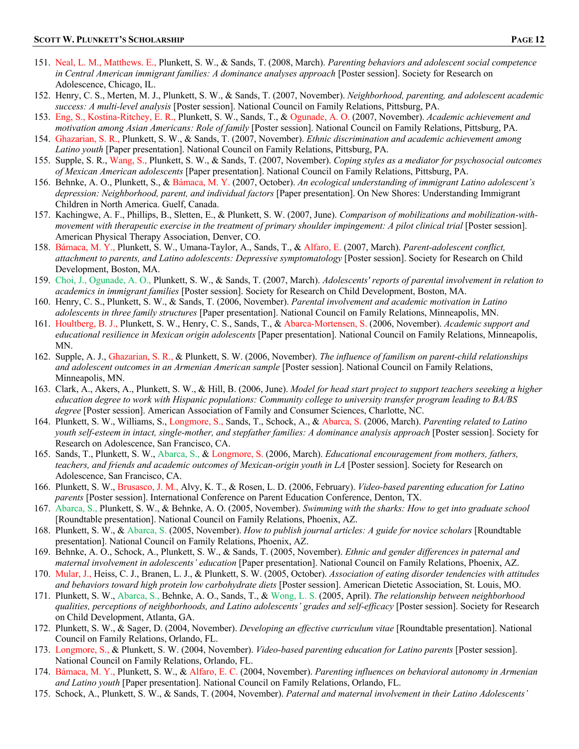- 151. Neal, L. M., Matthews. E., Plunkett, S. W., & Sands, T. (2008, March). *Parenting behaviors and adolescent social competence in Central American immigrant families: A dominance analyses approach* [Poster session]. Society for Research on Adolescence, Chicago, IL.
- 152. Henry, C. S., Merten, M. J., Plunkett, S. W., & Sands, T. (2007, November). *Neighborhood, parenting, and adolescent academic success: A multi-level analysis* [Poster session]. National Council on Family Relations, Pittsburg, PA.
- 153. Eng, S., Kostina-Ritchey, E. R., Plunkett, S. W., Sands, T., & Ogunade, A. O. (2007, November). *Academic achievement and motivation among Asian Americans: Role of family* [Poster session]. National Council on Family Relations, Pittsburg, PA.
- 154. Ghazarian, S. R., Plunkett, S. W., & Sands, T. (2007, November). *Ethnic discrimination and academic achievement among Latino youth* [Paper presentation]. National Council on Family Relations, Pittsburg, PA.
- 155. Supple, S. R., Wang, S., Plunkett, S. W., & Sands, T. (2007, November). *Coping styles as a mediator for psychosocial outcomes of Mexican American adolescents* [Paper presentation]. National Council on Family Relations, Pittsburg, PA.
- 156. Behnke, A. O., Plunkett, S., & Bámaca, M. Y. (2007, October). *An ecological understanding of immigrant Latino adolescent's depression: Neighborhood, parent, and individual factors* [Paper presentation]. On New Shores: Understanding Immigrant Children in North America. Guelf, Canada.
- 157. Kachingwe, A. F., Phillips, B., Sletten, E., & Plunkett, S. W. (2007, June). *Comparison of mobilizations and mobilization-withmovement with therapeutic exercise in the treatment of primary shoulder impingement: A pilot clinical trial* [Poster session]. American Physical Therapy Association, Denver, CO.
- 158. Bámaca, M. Y., Plunkett, S. W., Umana-Taylor, A., Sands, T., & Alfaro, E. (2007, March). *Parent-adolescent conflict, attachment to parents, and Latino adolescents: Depressive symptomatology* [Poster session]. Society for Research on Child Development, Boston, MA.
- 159. Choi, J., Ogunade, A. O., Plunkett, S. W., & Sands, T. (2007, March). *Adolescents' reports of parental involvement in relation to academics in immigrant families* [Poster session]. Society for Research on Child Development, Boston, MA.
- 160. Henry, C. S., Plunkett, S. W., & Sands, T. (2006, November). *Parental involvement and academic motivation in Latino adolescents in three family structures* [Paper presentation]. National Council on Family Relations, Minneapolis, MN.
- 161. Houltberg, B. J., Plunkett, S. W., Henry, C. S., Sands, T., & Abarca-Mortensen, S. (2006, November). *Academic support and educational resilience in Mexican origin adolescents* [Paper presentation]. National Council on Family Relations, Minneapolis, MN.
- 162. Supple, A. J., Ghazarian, S. R., & Plunkett, S. W. (2006, November). *The influence of familism on parent-child relationships and adolescent outcomes in an Armenian American sample* [Poster session]. National Council on Family Relations, Minneapolis, MN.
- 163. Clark, A., Akers, A., Plunkett, S. W., & Hill, B. (2006, June). *Model for head start project to support teachers seeeking a higher education degree to work with Hispanic populations: Community college to university transfer program leading to BA/BS degree* [Poster session]. American Association of Family and Consumer Sciences, Charlotte, NC.
- 164. Plunkett, S. W., Williams, S., Longmore, S., Sands, T., Schock, A., & Abarca, S. (2006, March). *Parenting related to Latino youth self-esteem in intact, single-mother, and stepfather families: A dominance analysis approach* [Poster session]. Society for Research on Adolescence, San Francisco, CA.
- 165. Sands, T., Plunkett, S. W., Abarca, S., & Longmore, S. (2006, March). *Educational encouragement from mothers, fathers, teachers, and friends and academic outcomes of Mexican-origin youth in LA* [Poster session]. Society for Research on Adolescence, San Francisco, CA.
- 166. Plunkett, S. W., Brusasco, J. M., Alvy, K. T., & Rosen, L. D. (2006, February). *Video-based parenting education for Latino parents* [Poster session]. International Conference on Parent Education Conference, Denton, TX.
- 167. Abarca, S., Plunkett, S. W., & Behnke, A. O. (2005, November). *Swimming with the sharks: How to get into graduate school* [Roundtable presentation]. National Council on Family Relations, Phoenix, AZ.
- 168. Plunkett, S. W., & Abarca, S. (2005, November). *How to publish journal articles: A guide for novice scholars* [Roundtable presentation]. National Council on Family Relations, Phoenix, AZ.
- 169. Behnke, A. O., Schock, A., Plunkett, S. W., & Sands, T. (2005, November). *Ethnic and gender differences in paternal and maternal involvement in adolescents' education* [Paper presentation]. National Council on Family Relations, Phoenix, AZ.
- 170. Mular, J., Heiss, C. J., Branen, L. J., & Plunkett, S. W. (2005, October). *Association of eating disorder tendencies with attitudes and behaviors toward high protein low carbohydrate diets* [Poster session]. American Dietetic Association, St. Louis, MO.
- 171. Plunkett, S. W., Abarca, S., Behnke, A. O., Sands, T., & Wong, L. S. (2005, April). *The relationship between neighborhood qualities, perceptions of neighborhoods, and Latino adolescents' grades and self-efficacy* [Poster session]. Society for Research on Child Development, Atlanta, GA.
- 172. Plunkett, S. W., & Sager, D. (2004, November). *Developing an effective curriculum vitae* [Roundtable presentation]. National Council on Family Relations, Orlando, FL.
- 173. Longmore, S., & Plunkett, S. W. (2004, November). *Video-based parenting education for Latino parents* [Poster session]. National Council on Family Relations, Orlando, FL.
- 174. Bámaca, M. Y., Plunkett, S. W., & Alfaro, E. C. (2004, November). *Parenting influences on behavioral autonomy in Armenian and Latino youth* [Paper presentation]. National Council on Family Relations, Orlando, FL.
- 175. Schock, A., Plunkett, S. W., & Sands, T. (2004, November). *Paternal and maternal involvement in their Latino Adolescents'*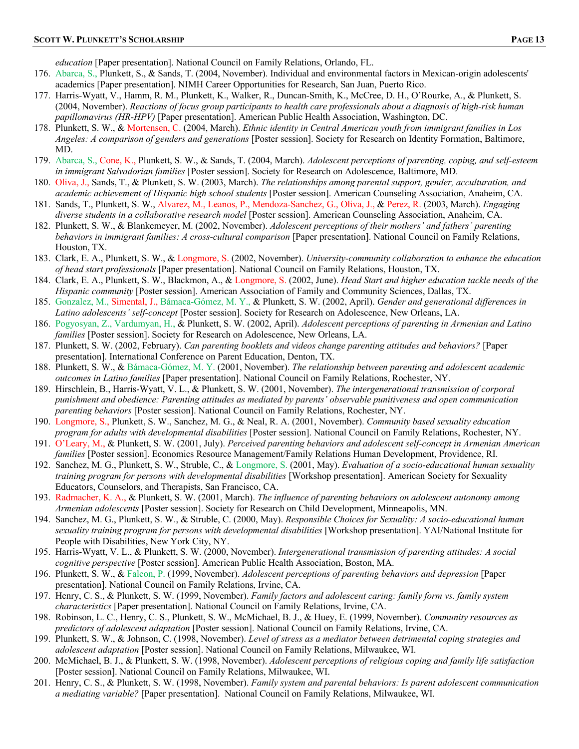*education* [Paper presentation]. National Council on Family Relations, Orlando, FL.

- 176. Abarca, S., Plunkett, S., & Sands, T. (2004, November). Individual and environmental factors in Mexican-origin adolescents' academics [Paper presentation]. NIMH Career Opportunities for Research, San Juan, Puerto Rico.
- 177. Harris-Wyatt, V., Hamm, R. M., Plunkett, K., Walker, R., Duncan-Smith, K., McCree, D. H., O'Rourke, A., & Plunkett, S. (2004, November). *Reactions of focus group participants to health care professionals about a diagnosis of high-risk human papillomavirus (HR-HPV)* [Paper presentation]. American Public Health Association, Washington, DC.
- 178. Plunkett, S. W., & Mortensen, C. (2004, March). *Ethnic identity in Central American youth from immigrant families in Los Angeles: A comparison of genders and generations* [Poster session]. Society for Research on Identity Formation, Baltimore, MD.
- 179. Abarca, S., Cone, K., Plunkett, S. W., & Sands, T. (2004, March). *Adolescent perceptions of parenting, coping, and self-esteem in immigrant Salvadorian families* [Poster session]. Society for Research on Adolescence, Baltimore, MD.
- 180. Oliva, J., Sands, T., & Plunkett, S. W. (2003, March). *The relationships among parental support, gender, acculturation, and academic achievement of Hispanic high school students* [Poster session]. American Counseling Association, Anaheim, CA.
- 181. Sands, T., Plunkett, S. W., Alvarez, M., Leanos, P., Mendoza-Sanchez, G., Oliva, J., & Perez, R. (2003, March). *Engaging diverse students in a collaborative research model* [Poster session]. American Counseling Association, Anaheim, CA.
- 182. Plunkett, S. W., & Blankemeyer, M. (2002, November). *Adolescent perceptions of their mothers' and fathers' parenting behaviors in immigrant families: A cross-cultural comparison* [Paper presentation]. National Council on Family Relations, Houston, TX.
- 183. Clark, E. A., Plunkett, S. W., & Longmore, S. (2002, November). *University-community collaboration to enhance the education of head start professionals* [Paper presentation]. National Council on Family Relations, Houston, TX.
- 184. Clark, E. A., Plunkett, S. W., Blackmon, A., & Longmore, S. (2002, June). *Head Start and higher education tackle needs of the Hispanic community* [Poster session]. American Association of Family and Community Sciences, Dallas, TX.
- 185. Gonzalez, M., Simental, J., Bámaca-Gómez, M. Y., & Plunkett, S. W. (2002, April). *Gender and generational differences in Latino adolescents' self-concept* [Poster session]. Society for Research on Adolescence, New Orleans, LA.
- 186. Pogyosyan, Z., Vardumyan, H., & Plunkett, S. W. (2002, April). *Adolescent perceptions of parenting in Armenian and Latino families* [Poster session]. Society for Research on Adolescence, New Orleans, LA.
- 187. Plunkett, S. W. (2002, February). *Can parenting booklets and videos change parenting attitudes and behaviors?* [Paper presentation]. International Conference on Parent Education, Denton, TX.
- 188. Plunkett, S. W., & Bámaca-Gómez, M. Y. (2001, November). *The relationship between parenting and adolescent academic outcomes in Latino families* [Paper presentation]. National Council on Family Relations, Rochester, NY.
- 189. Hirschlein, B., Harris-Wyatt, V. L., & Plunkett, S. W. (2001, November). *The intergenerational transmission of corporal punishment and obedience: Parenting attitudes as mediated by parents' observable punitiveness and open communication parenting behaviors* [Poster session]. National Council on Family Relations, Rochester, NY.
- 190. Longmore, S., Plunkett, S. W., Sanchez, M. G., & Neal, R. A. (2001, November). *Community based sexuality education program for adults with developmental disabilities* [Poster session]. National Council on Family Relations, Rochester, NY.
- 191. O'Leary, M., & Plunkett, S. W. (2001, July). *Perceived parenting behaviors and adolescent self-concept in Armenian American families* [Poster session]. Economics Resource Management/Family Relations Human Development, Providence, RI.
- 192. Sanchez, M. G., Plunkett, S. W., Struble, C., & Longmore, S. (2001, May). *Evaluation of a socio-educational human sexuality training program for persons with developmental disabilities* [Workshop presentation]. American Society for Sexuality Educators, Counselors, and Therapists, San Francisco, CA.
- 193. Radmacher, K. A., & Plunkett, S. W. (2001, March). *The influence of parenting behaviors on adolescent autonomy among Armenian adolescents* [Poster session]. Society for Research on Child Development, Minneapolis, MN.
- 194. Sanchez, M. G., Plunkett, S. W., & Struble, C. (2000, May). *Responsible Choices for Sexuality: A socio-educational human sexuality training program for persons with developmental disabilities* [Workshop presentation]. YAI/National Institute for People with Disabilities, New York City, NY.
- 195. Harris-Wyatt, V. L., & Plunkett, S. W. (2000, November). *Intergenerational transmission of parenting attitudes: A social cognitive perspective* [Poster session]. American Public Health Association, Boston, MA.
- 196. Plunkett, S. W., & Falcon, P. (1999, November). *Adolescent perceptions of parenting behaviors and depression* [Paper presentation]. National Council on Family Relations, Irvine, CA.
- 197. Henry, C. S., & Plunkett, S. W. (1999, November). *Family factors and adolescent caring: family form vs. family system characteristics* [Paper presentation]. National Council on Family Relations, Irvine, CA.
- 198. Robinson, L. C., Henry, C. S., Plunkett, S. W., McMichael, B. J., & Huey, E. (1999, November). *Community resources as predictors of adolescent adaptation* [Poster session]. National Council on Family Relations, Irvine, CA.
- 199. Plunkett, S. W., & Johnson, C. (1998, November). *Level of stress as a mediator between detrimental coping strategies and adolescent adaptation* [Poster session]. National Council on Family Relations, Milwaukee, WI.
- 200. McMichael, B. J., & Plunkett, S. W. (1998, November). *Adolescent perceptions of religious coping and family life satisfaction* [Poster session]. National Council on Family Relations, Milwaukee, WI.
- 201. Henry, C. S., & Plunkett, S. W. (1998, November). *Family system and parental behaviors: Is parent adolescent communication a mediating variable?* [Paper presentation]. National Council on Family Relations, Milwaukee, WI.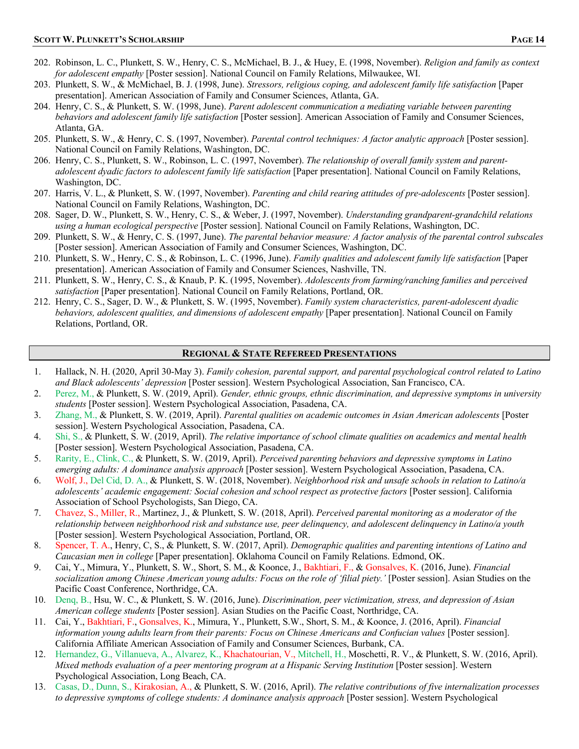- 202. Robinson, L. C., Plunkett, S. W., Henry, C. S., McMichael, B. J., & Huey, E. (1998, November). *Religion and family as context for adolescent empathy* [Poster session]. National Council on Family Relations, Milwaukee, WI.
- 203. Plunkett, S. W., & McMichael, B. J. (1998, June). *Stressors, religious coping, and adolescent family life satisfaction* [Paper presentation]. American Association of Family and Consumer Sciences, Atlanta, GA.
- 204. Henry, C. S., & Plunkett, S. W. (1998, June). *Parent adolescent communication a mediating variable between parenting behaviors and adolescent family life satisfaction* [Poster session]. American Association of Family and Consumer Sciences, Atlanta, GA.
- 205. Plunkett, S. W., & Henry, C. S. (1997, November). *Parental control techniques: A factor analytic approach* [Poster session]. National Council on Family Relations, Washington, DC.
- 206. Henry, C. S., Plunkett, S. W., Robinson, L. C. (1997, November). *The relationship of overall family system and parentadolescent dyadic factors to adolescent family life satisfaction* [Paper presentation]. National Council on Family Relations, Washington, DC.
- 207. Harris, V. L., & Plunkett, S. W. (1997, November). *Parenting and child rearing attitudes of pre-adolescents* [Poster session]. National Council on Family Relations, Washington, DC.
- 208. Sager, D. W., Plunkett, S. W., Henry, C. S., & Weber, J. (1997, November). *Understanding grandparent-grandchild relations using a human ecological perspective* [Poster session]. National Council on Family Relations, Washington, DC.
- 209. Plunkett, S. W., & Henry, C. S. (1997, June). *The parental behavior measure: A factor analysis of the parental control subscales* [Poster session]. American Association of Family and Consumer Sciences, Washington, DC.
- 210. Plunkett, S. W., Henry, C. S., & Robinson, L. C. (1996, June). *Family qualities and adolescent family life satisfaction* [Paper presentation]. American Association of Family and Consumer Sciences, Nashville, TN.
- 211. Plunkett, S. W., Henry, C. S., & Knaub, P. K. (1995, November). *Adolescents from farming/ranching families and perceived satisfaction* [Paper presentation]. National Council on Family Relations, Portland, OR.
- 212. Henry, C. S., Sager, D. W., & Plunkett, S. W. (1995, November). *Family system characteristics, parent-adolescent dyadic behaviors, adolescent qualities, and dimensions of adolescent empathy* [Paper presentation]. National Council on Family Relations, Portland, OR.

### **REGIONAL & STATE REFEREED PRESENTATIONS**

- 1. Hallack, N. H. (2020, April 30-May 3). *Family cohesion, parental support, and parental psychological control related to Latino and Black adolescents' depression* [Poster session]. Western Psychological Association, San Francisco, CA.
- 2. Perez, M., & Plunkett, S. W. (2019, April). *Gender, ethnic groups, ethnic discrimination, and depressive symptoms in university students* [Poster session]. Western Psychological Association, Pasadena, CA.
- 3. Zhang, M., & Plunkett, S. W. (2019, April). *Parental qualities on academic outcomes in Asian American adolescents* [Poster session]. Western Psychological Association, Pasadena, CA.
- 4. Shi, S., & Plunkett, S. W. (2019, April). *The relative importance of school climate qualities on academics and mental health* [Poster session]. Western Psychological Association, Pasadena, CA.
- 5. Rarity, E., Clink, C., & Plunkett, S. W. (2019, April). *Perceived parenting behaviors and depressive symptoms in Latino emerging adults: A dominance analysis approach* [Poster session]. Western Psychological Association, Pasadena, CA.
- 6. Wolf, J., Del Cid, D. A., & Plunkett, S. W. (2018, November). *Neighborhood risk and unsafe schools in relation to Latino/a adolescents' academic engagement: Social cohesion and school respect as protective factors* [Poster session]. California Association of School Psychologists, San Diego, CA.
- 7. Chavez, S., Miller, R., Martinez, J., & Plunkett, S. W. (2018, April). *Perceived parental monitoring as a moderator of the relationship between neighborhood risk and substance use, peer delinquency, and adolescent delinquency in Latino/a youth* [Poster session]. Western Psychological Association, Portland, OR.
- 8. Spencer, T. A., Henry, C, S., & Plunkett, S. W. (2017, April). *Demographic qualities and parenting intentions of Latino and Caucasian men in college* [Paper presentation]. Oklahoma Council on Family Relations. Edmond, OK.
- 9. Cai, Y., Mimura, Y., Plunkett, S. W., Short, S. M., & Koonce, J., Bakhtiari, F., & Gonsalves, K. (2016, June). *Financial socialization among Chinese American young adults: Focus on the role of 'filial piety.'* [Poster session]. Asian Studies on the Pacific Coast Conference, Northridge, CA.
- 10. Denq, B., Hsu, W. C., & Plunkett, S. W. (2016, June). *Discrimination, peer victimization, stress, and depression of Asian American college students* [Poster session]. Asian Studies on the Pacific Coast, Northridge, CA.
- 11. Cai, Y., Bakhtiari, F., Gonsalves, K., Mimura, Y., Plunkett, S.W., Short, S. M., & Koonce, J. (2016, April). *Financial information young adults learn from their parents: Focus on Chinese Americans and Confucian values* [Poster session]. California Affiliate American Association of Family and Consumer Sciences, Burbank, CA.
- 12. Hernandez, G., Villanueva, A., Alvarez, K., Khachatourian, V., Mitchell, H., Moschetti, R. V., & Plunkett, S. W. (2016, April). *Mixed methods evaluation of a peer mentoring program at a Hispanic Serving Institution* [Poster session]. Western Psychological Association, Long Beach, CA.
- 13. Casas, D., Dunn, S., Kirakosian, A., & Plunkett, S. W. (2016, April). *The relative contributions of five internalization processes to depressive symptoms of college students: A dominance analysis approach* [Poster session]. Western Psychological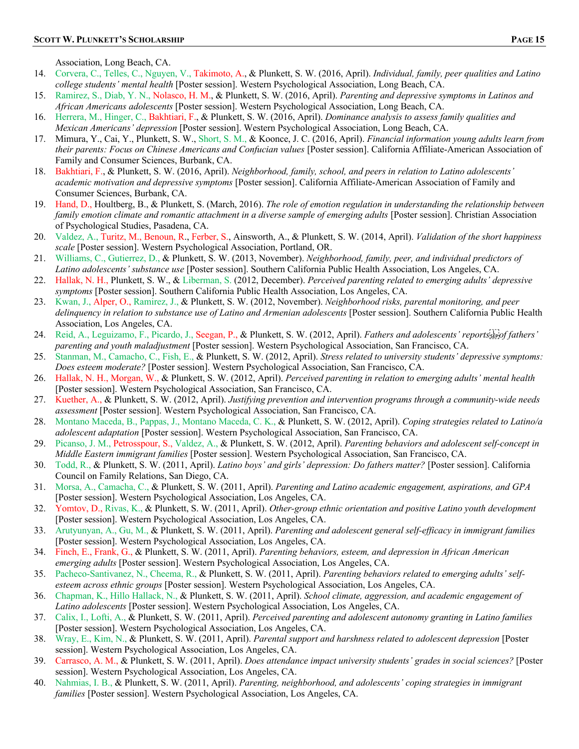Association, Long Beach, CA.

- 14. Corvera, C., Telles, C., Nguyen, V., Takimoto, A., & Plunkett, S. W. (2016, April). *Individual, family, peer qualities and Latino college students' mental health* [Poster session]. Western Psychological Association, Long Beach, CA.
- 15. Ramirez, S., Diab, Y. N., Nolasco, H. M., & Plunkett, S. W. (2016, April). *Parenting and depressive symptoms in Latinos and African Americans adolescents* [Poster session]. Western Psychological Association, Long Beach, CA.
- 16. Herrera, M., Hinger, C., Bakhtiari, F., & Plunkett, S. W. (2016, April). *Dominance analysis to assess family qualities and Mexican Americans' depression* [Poster session]. Western Psychological Association, Long Beach, CA.
- 17. Mimura, Y., Cai, Y., Plunkett, S. W., Short, S. M., & Koonce, J. C. (2016, April). *Financial information young adults learn from their parents: Focus on Chinese Americans and Confucian values* [Poster session]. California Affiliate-American Association of Family and Consumer Sciences, Burbank, CA.
- 18. Bakhtiari, F., & Plunkett, S. W. (2016, April). *Neighborhood, family, school, and peers in relation to Latino adolescents' academic motivation and depressive symptoms* [Poster session]. California Affiliate-American Association of Family and Consumer Sciences, Burbank, CA.
- 19. Hand, D., Houltberg, B., & Plunkett, S. (March, 2016). *The role of emotion regulation in understanding the relationship between family emotion climate and romantic attachment in a diverse sample of emerging adults* [Poster session]. Christian Association of Psychological Studies, Pasadena, CA.
- 20. Valdez, A., Turitz, M., Benoun, R., Ferber, S., Ainsworth, A., & Plunkett, S. W. (2014, April). *Validation of the short happiness scale* [Poster session]. Western Psychological Association, Portland, OR.
- 21. Williams, C., Gutierrez, D., & Plunkett, S. W. (2013, November). *Neighborhood, family, peer, and individual predictors of Latino adolescents' substance use* [Poster session]. Southern California Public Health Association, Los Angeles, CA.
- 22. Hallak, N. H., Plunkett, S. W., & Liberman, S. (2012, December). *Perceived parenting related to emerging adults' depressive symptoms* [Poster session]. Southern California Public Health Association, Los Angeles, CA.
- 23. Kwan, J., Alper, O., Ramirez, J., & Plunkett, S. W. (2012, November). *Neighborhood risks, parental monitoring, and peer delinquency in relation to substance use of Latino and Armenian adolescents* [Poster session]. Southern California Public Health Association, Los Angeles, CA.
- 24. Reid, A., Leguizamo, F., Picardo, J., Seegan, P., & Plunkett, S. W. (2012, April). *Fathers and adolescents' reports
of fathers' parenting and youth maladjustment* [Poster session]. Western Psychological Association, San Francisco, CA.
- 25. Stanman, M., Camacho, C., Fish, E., & Plunkett, S. W. (2012, April). *Stress related to university students' depressive symptoms: Does esteem moderate?* [Poster session]. Western Psychological Association, San Francisco, CA.
- 26. Hallak, N. H., Morgan, W., & Plunkett, S. W. (2012, April). *Perceived parenting in relation to emerging adults' mental health* [Poster session]. Western Psychological Association, San Francisco, CA.
- 27. Kuether, A., & Plunkett, S. W. (2012, April). *Justifying prevention and intervention programs through a community-wide needs assessment* [Poster session]. Western Psychological Association, San Francisco, CA.
- 28. Montano Maceda, B., Pappas, J., Montano Maceda, C. K., & Plunkett, S. W. (2012, April). *Coping strategies related to Latino/a adolescent adaptation* [Poster session]. Western Psychological Association, San Francisco, CA.
- 29. Picanso, J. M., Petrosspour, S., Valdez, A., & Plunkett, S. W. (2012, April). *Parenting behaviors and adolescent self-concept in Middle Eastern immigrant families* [Poster session]. Western Psychological Association, San Francisco, CA.
- 30. Todd, R., & Plunkett, S. W. (2011, April). *Latino boys' and girls' depression: Do fathers matter?* [Poster session]. California Council on Family Relations, San Diego, CA.
- 31. Morsa, A., Camacha, C., & Plunkett, S. W. (2011, April). *Parenting and Latino academic engagement, aspirations, and GPA* [Poster session]. Western Psychological Association, Los Angeles, CA.
- 32. Yomtov, D., Rivas, K., & Plunkett, S. W. (2011, April). *Other-group ethnic orientation and positive Latino youth development* [Poster session]. Western Psychological Association, Los Angeles, CA.
- 33. Arutyunyan, A., Gu, M., & Plunkett, S. W. (2011, April). *Parenting and adolescent general self-efficacy in immigrant families* [Poster session]. Western Psychological Association, Los Angeles, CA.
- 34. Finch, E., Frank, G., & Plunkett, S. W. (2011, April). *Parenting behaviors, esteem, and depression in African American emerging adults* [Poster session]. Western Psychological Association, Los Angeles, CA.
- 35. Pacheco-Santivanez, N., Cheema, R., & Plunkett, S. W. (2011, April). *Parenting behaviors related to emerging adults' selfesteem across ethnic groups* [Poster session]. Western Psychological Association, Los Angeles, CA.
- 36. Chapman, K., Hillo Hallack, N., & Plunkett, S. W. (2011, April). *School climate, aggression, and academic engagement of Latino adolescents* [Poster session]. Western Psychological Association, Los Angeles, CA.
- 37. Calix, I., Lofti, A., & Plunkett, S. W. (2011, April). *Perceived parenting and adolescent autonomy granting in Latino families* [Poster session]. Western Psychological Association, Los Angeles, CA.
- 38. Wray, E., Kim, N., & Plunkett, S. W. (2011, April). *Parental support and harshness related to adolescent depression* [Poster session]. Western Psychological Association, Los Angeles, CA.
- 39. Carrasco, A. M., & Plunkett, S. W. (2011, April). *Does attendance impact university students' grades in social sciences?* [Poster session]. Western Psychological Association, Los Angeles, CA.
- 40. Nahmias, I. B., & Plunkett, S. W. (2011, April). *Parenting, neighborhood, and adolescents' coping strategies in immigrant families* [Poster session]. Western Psychological Association, Los Angeles, CA.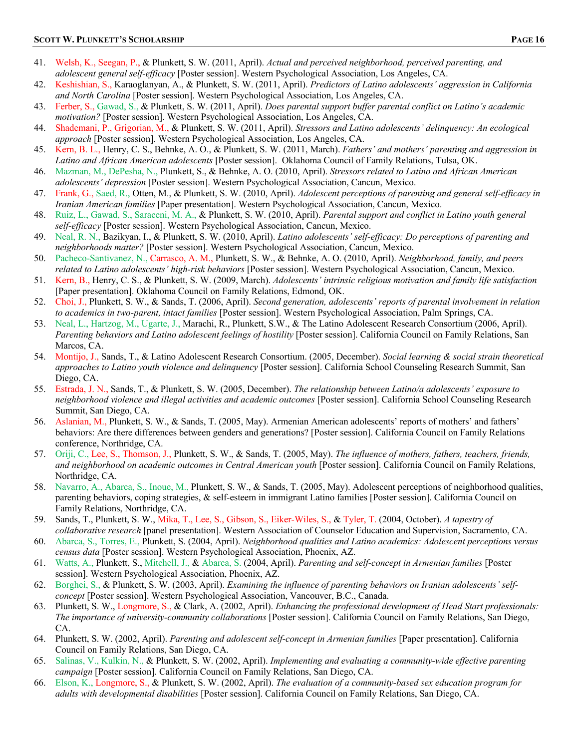- 41. Welsh, K., Seegan, P., & Plunkett, S. W. (2011, April). *Actual and perceived neighborhood, perceived parenting, and adolescent general self-efficacy* [Poster session]. Western Psychological Association, Los Angeles, CA.
- 42. Keshishian, S., Karaoglanyan, A., & Plunkett, S. W. (2011, April). *Predictors of Latino adolescents' aggression in California and North Carolina* [Poster session]. Western Psychological Association, Los Angeles, CA.
- 43. Ferber, S., Gawad, S., & Plunkett, S. W. (2011, April). *Does parental support buffer parental conflict on Latino's academic motivation?* [Poster session]. Western Psychological Association, Los Angeles, CA.
- 44. Shademani, P., Grigorian, M., & Plunkett, S. W. (2011, April). *Stressors and Latino adolescents' delinquency: An ecological approach* [Poster session]. Western Psychological Association, Los Angeles, CA.
- 45. Kern, B. L., Henry, C. S., Behnke, A. O., & Plunkett, S. W. (2011, March). *Fathers' and mothers' parenting and aggression in Latino and African American adolescents* [Poster session]. Oklahoma Council of Family Relations, Tulsa, OK.
- 46. Mazman, M., DePesha, N., Plunkett, S., & Behnke, A. O. (2010, April). *Stressors related to Latino and African American adolescents' depression* [Poster session]. Western Psychological Association, Cancun, Mexico.
- 47. Frank, G., Saed, R., Otten, M., & Plunkett, S. W. (2010, April). *Adolescent perceptions of parenting and general self-efficacy in Iranian American families* [Paper presentation]. Western Psychological Association, Cancun, Mexico.
- 48. Ruiz, L., Gawad, S., Saraceni, M. A., & Plunkett, S. W. (2010, April). *Parental support and conflict in Latino youth general self-efficacy* [Poster session]. Western Psychological Association, Cancun, Mexico.
- 49. Neal, R. N., Bazikyan, I., & Plunkett, S. W. (2010, April). *Latino adolescents' self-efficacy: Do perceptions of parenting and neighborhoods matter?* [Poster session]. Western Psychological Association, Cancun, Mexico.
- 50. Pacheco-Santivanez, N., Carrasco, A. M., Plunkett, S. W., & Behnke, A. O. (2010, April). *Neighborhood, family, and peers related to Latino adolescents' high-risk behaviors* [Poster session]. Western Psychological Association, Cancun, Mexico.
- 51. Kern, B., Henry, C. S., & Plunkett, S. W. (2009, March). *Adolescents' intrinsic religious motivation and family life satisfaction* [Paper presentation]. Oklahoma Council on Family Relations, Edmond, OK.
- 52. Choi, J., Plunkett, S. W., & Sands, T. (2006, April). *Second generation, adolescents' reports of parental involvement in relation to academics in two-parent, intact families* [Poster session]. Western Psychological Association, Palm Springs, CA.
- 53. Neal, L., Hartzog, M., Ugarte, J., Marachi, R., Plunkett, S.W., & The Latino Adolescent Research Consortium (2006, April). *Parenting behaviors and Latino adolescent feelings of hostility* [Poster session]. California Council on Family Relations, San Marcos, CA.
- 54. Montijo, J., Sands, T., & Latino Adolescent Research Consortium. (2005, December). *Social learning & social strain theoretical approaches to Latino youth violence and delinquency* [Poster session]. California School Counseling Research Summit, San Diego, CA.
- 55. Estrada, J. N., Sands, T., & Plunkett, S. W. (2005, December). *The relationship between Latino/a adolescents' exposure to neighborhood violence and illegal activities and academic outcomes* [Poster session]. California School Counseling Research Summit, San Diego, CA.
- 56. Aslanian, M., Plunkett, S. W., & Sands, T. (2005, May). Armenian American adolescents' reports of mothers' and fathers' behaviors: Are there differences between genders and generations? [Poster session]. California Council on Family Relations conference, Northridge, CA.
- 57. Oriji, C., Lee, S., Thomson, J., Plunkett, S. W., & Sands, T. (2005, May). *The influence of mothers, fathers, teachers, friends, and neighborhood on academic outcomes in Central American youth* [Poster session]. California Council on Family Relations, Northridge, CA.
- 58. Navarro, A., Abarca, S., Inoue, M., Plunkett, S. W., & Sands, T. (2005, May). Adolescent perceptions of neighborhood qualities, parenting behaviors, coping strategies, & self-esteem in immigrant Latino families [Poster session]. California Council on Family Relations, Northridge, CA.
- 59. Sands, T., Plunkett, S. W., Mika, T., Lee, S., Gibson, S., Eiker-Wiles, S., & Tyler, T. (2004, October). *A tapestry of collaborative research* [panel presentation]. Western Association of Counselor Education and Supervision, Sacramento, CA.
- 60. Abarca, S., Torres, E., Plunkett, S. (2004, April). *Neighborhood qualities and Latino academics: Adolescent perceptions versus census data* [Poster session]. Western Psychological Association, Phoenix, AZ.
- 61. Watts, A., Plunkett, S., Mitchell, J., & Abarca, S. (2004, April). *Parenting and self-concept in Armenian families* [Poster session]. Western Psychological Association, Phoenix, AZ.
- 62. Borghei, S., & Plunkett, S. W. (2003, April). *Examining the influence of parenting behaviors on Iranian adolescents' selfconcept* [Poster session]. Western Psychological Association, Vancouver, B.C., Canada.
- 63. Plunkett, S. W., Longmore, S., & Clark, A. (2002, April). *Enhancing the professional development of Head Start professionals: The importance of university-community collaborations* [Poster session]. California Council on Family Relations, San Diego, CA.
- 64. Plunkett, S. W. (2002, April). *Parenting and adolescent self-concept in Armenian families* [Paper presentation]. California Council on Family Relations, San Diego, CA.
- 65. Salinas, V., Kulkin, N., & Plunkett, S. W. (2002, April). *Implementing and evaluating a community-wide effective parenting campaign* [Poster session]. California Council on Family Relations, San Diego, CA.
- 66. Elson, K., Longmore, S., & Plunkett, S. W. (2002, April). *The evaluation of a community-based sex education program for adults with developmental disabilities* [Poster session]. California Council on Family Relations, San Diego, CA.